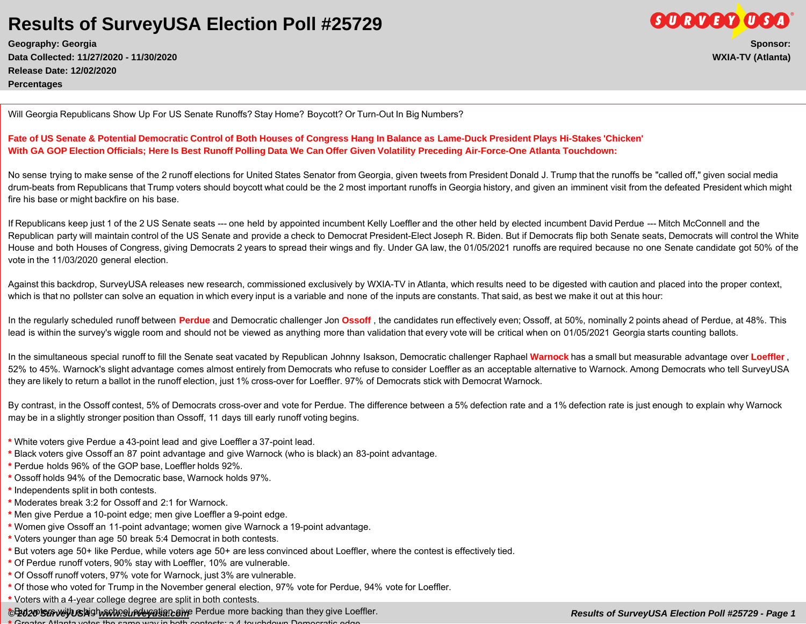**Geography: Georgia Sponsor: Data Collected: 11/27/2020 - 11/30/2020 WXIA-TV (Atlanta) Release Date: 12/02/2020 Percentages**

Will Georgia Republicans Show Up For US Senate Runoffs? Stay Home? Boycott? Or Turn-Out In Big Numbers?

#### **Fate of US Senate & Potential Democratic Control of Both Houses of Congress Hang In Balance as Lame-Duck President Plays Hi-Stakes 'Chicken' With GA GOP Election Officials; Here Is Best Runoff Polling Data We Can Offer Given Volatility Preceding Air-Force-One Atlanta Touchdown:**

No sense trying to make sense of the 2 runoff elections for United States Senator from Georgia, given tweets from President Donald J. Trump that the runoffs be "called off," given social media drum-beats from Republicans that Trump voters should boycott what could be the 2 most important runoffs in Georgia history, and given an imminent visit from the defeated President which might fire his base or might backfire on his base.

If Republicans keep just 1 of the 2 US Senate seats --- one held by appointed incumbent Kelly Loeffler and the other held by elected incumbent David Perdue --- Mitch McConnell and the Republican party will maintain control of the US Senate and provide a check to Democrat President-Elect Joseph R. Biden. But if Democrats flip both Senate seats, Democrats will control the White House and both Houses of Congress, giving Democrats 2 years to spread their wings and fly. Under GA law, the 01/05/2021 runoffs are required because no one Senate candidate got 50% of the vote in the 11/03/2020 general election.

Against this backdrop, SurveyUSA releases new research, commissioned exclusively by WXIA-TV in Atlanta, which results need to be digested with caution and placed into the proper context, which is that no pollster can solve an equation in which every input is a variable and none of the inputs are constants. That said, as best we make it out at this hour:

In the regularly scheduled runoff between **Perdue** and Democratic challenger Jon **Ossoff** , the candidates run effectively even; Ossoff, at 50%, nominally 2 points ahead of Perdue, at 48%. This lead is within the survey's wiggle room and should not be viewed as anything more than validation that every vote will be critical when on 01/05/2021 Georgia starts counting ballots.

In the simultaneous special runoff to fill the Senate seat vacated by Republican Johnny Isakson, Democratic challenger Raphael **Warnock** has a small but measurable advantage over **Loeffler** , 52% to 45%. Warnock's slight advantage comes almost entirely from Democrats who refuse to consider Loeffler as an acceptable alternative to Warnock. Among Democrats who tell SurveyUSA they are likely to return a ballot in the runoff election, just 1% cross-over for Loeffler. 97% of Democrats stick with Democrat Warnock.

By contrast, in the Ossoff contest, 5% of Democrats cross-over and vote for Perdue. The difference between a 5% defection rate and a 1% defection rate is just enough to explain why Warnock may be in a slightly stronger position than Ossoff, 11 days till early runoff voting begins.

- **\*** White voters give Perdue a 43-point lead and give Loeffler a 37-point lead.
- **\*** Black voters give Ossoff an 87 point advantage and give Warnock (who is black) an 83-point advantage.
- **\*** Perdue holds 96% of the GOP base, Loeffler holds 92%.
- **\*** Ossoff holds 94% of the Democratic base, Warnock holds 97%.
- **\*** Independents split in both contests.
- **\*** Moderates break 3:2 for Ossoff and 2:1 for Warnock.
- **\*** Men give Perdue a 10-point edge; men give Loeffler a 9-point edge.
- **\*** Women give Ossoff an 11-point advantage; women give Warnock a 19-point advantage.
- **\*** Voters younger than age 50 break 5:4 Democrat in both contests.
- **\*** But voters age 50+ like Perdue, while voters age 50+ are less convinced about Loeffler, where the contest is effectively tied.
- **\*** Of Perdue runoff voters, 90% stay with Loeffler, 10% are vulnerable.
- **\*** Of Ossoff runoff voters, 97% vote for Warnock, just 3% are vulnerable.
- **\*** Of those who voted for Trump in the November general election, 97% vote for Perdue, 94% vote for Loeffler.
- **\*** Voters with a 4-year college degree are split in both contests.

#### *© 2020 SurveyUSA - [www.surveyusa.com](http://www.surveyusa.com) Results of SurveyUSA Election Poll #25729 - Page 1* **\*** But voters with a high-school education give Perdue more backing than they give Loeffler.

**\*** Greater Atlanta votes the same way in both contests: a 4-touchdown Democratic edge.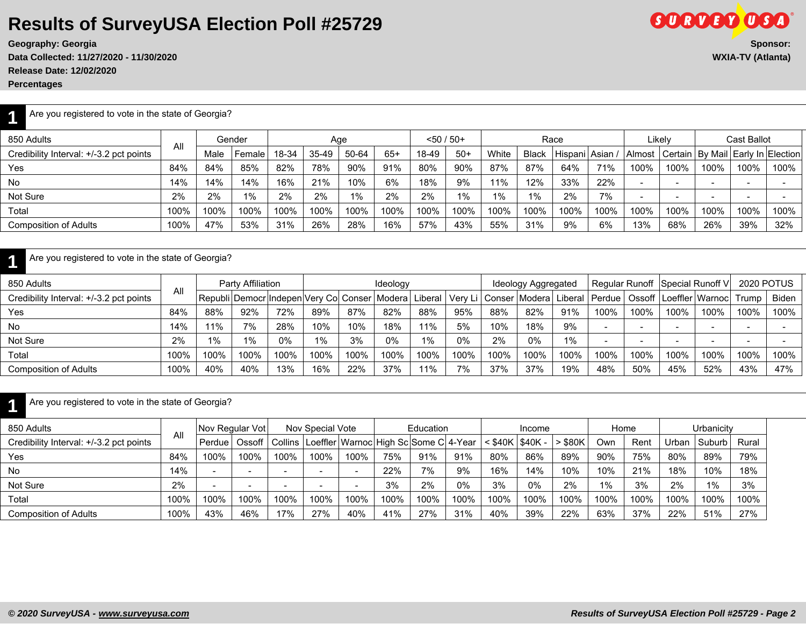**Data Collected: 11/27/2020 - 11/30/2020 WXIA-TV (Atlanta) Release Date: 12/02/2020**

**1**

**1**

850 Adults

850 Adults

| NURGUU DUNU. TEJVETEUEU                             |      |      |                                                |       |       |       |          |         |              |       |                     |             |                          |                          |                          |                 |                           |                          |
|-----------------------------------------------------|------|------|------------------------------------------------|-------|-------|-------|----------|---------|--------------|-------|---------------------|-------------|--------------------------|--------------------------|--------------------------|-----------------|---------------------------|--------------------------|
| <b>Percentages</b>                                  |      |      |                                                |       |       |       |          |         |              |       |                     |             |                          |                          |                          |                 |                           |                          |
| Are you registered to vote in the state of Georgia? |      |      |                                                |       |       |       |          |         |              |       |                     |             |                          |                          |                          |                 |                           |                          |
| 850 Adults                                          |      |      | Gender                                         |       |       | Age   |          |         | $<$ 50 / 50+ |       |                     | Race        |                          |                          | Likely                   |                 | <b>Cast Ballot</b>        |                          |
| Credibility Interval: +/-3.2 pct points             | All  | Male | Female                                         | 18-34 | 35-49 | 50-64 | $65+$    | 18-49   | $50+$        | White | <b>Black</b>        | , Hispani ' | Asian /                  | Almost                   | Certain                  |                 | By Mail Early In Election |                          |
| Yes                                                 | 84%  | 84%  | 85%                                            | 82%   | 78%   | 90%   | 91%      | 80%     | 90%          | 87%   | 87%                 | 64%         | 71%                      | 100%                     | 100%                     | 100%            | 100%                      | 100%                     |
| No                                                  | 14%  | 14%  | 14%                                            | 16%   | 21%   | 10%   | 6%       | 18%     | 9%           | 11%   | 12%                 | 33%         | 22%                      | $\overline{\phantom{a}}$ | $\overline{\phantom{a}}$ |                 |                           |                          |
| Not Sure                                            | 2%   | 2%   | $1\%$                                          | 2%    | 2%    | 1%    | 2%       | 2%      | 1%           | 1%    | 1%                  | 2%          | 7%                       | $\overline{\phantom{a}}$ | $\overline{\phantom{a}}$ |                 |                           | $\overline{\phantom{0}}$ |
| Total                                               | 100% | 100% | 100%                                           | 100%  | 100%  | 100%  | 100%     | 100%    | 100%         | 100%  | 100%                | 100%        | 100%                     | 100%                     | 100%                     | 100%            | 100%                      | 100%                     |
| <b>Composition of Adults</b>                        | 100% | 47%  | 53%                                            | 31%   | 26%   | 28%   | 16%      | 57%     | 43%          | 55%   | 31%                 | 9%          | 6%                       | 13%                      | 68%                      | 26%             | 39%                       | 32%                      |
|                                                     |      |      |                                                |       |       |       |          |         |              |       |                     |             |                          |                          |                          |                 |                           |                          |
| Are you registered to vote in the state of Georgia? |      |      |                                                |       |       |       |          |         |              |       |                     |             |                          |                          |                          |                 |                           |                          |
| 850 Adults                                          |      |      | Party Affiliation                              |       |       |       | Ideology |         |              |       | Ideology Aggregated |             | Regular Runoff           |                          | Special Runoff V         |                 | <b>2020 POTUS</b>         |                          |
| Credibility Interval: +/-3.2 pct points             | All  |      | Republi Democr Indepen Very Co Conser   Modera |       |       |       |          | Liberal | Very Li      |       | Conser   Modera     | Liberal     | Perdue                   | Ossoff                   |                          | Loeffler Warnoc | Trump                     | <b>Biden</b>             |
| Yes                                                 | 84%  | 88%  | 92%                                            | 72%   | 89%   | 87%   | 82%      | 88%     | 95%          | 88%   | 82%                 | 91%         | 100%                     | 100%                     | 100%                     | 100%            | 100%                      | 100%                     |
| No                                                  | 14%  | 11%  | 7%                                             | 28%   | 10%   | 10%   | 18%      | 11%     | 5%           | 10%   | 18%                 | 9%          | $\overline{\phantom{0}}$ | $\overline{\phantom{0}}$ | $\overline{\phantom{0}}$ |                 |                           | $\overline{\phantom{0}}$ |
| Not Sure                                            | 2%   | 1%   | $1\%$                                          | 0%    | $1\%$ | 3%    | 0%       | $1\%$   | 0%           | 2%    | 0%                  | 1%          |                          | $\overline{\phantom{0}}$ | $\overline{\phantom{0}}$ |                 |                           |                          |
| Total                                               | 100% | 100% | 100%                                           | 100%  | 100%  | 100%  | 100%     | 100%    | 100%         | 100%  | 100%                | 100%        | 100%                     | 100%                     | 100%                     | 100%            | 100%                      | 100%                     |

| Are you registered to vote in the state of Georgia? |
|-----------------------------------------------------|
|                                                     |

|      |      | Ossoff | Collins  |                 |      |                  |      |      |                                                            |      | \$80K                       | Own  | Rent | <b>Jrban</b> |      | Rural                |
|------|------|--------|----------|-----------------|------|------------------|------|------|------------------------------------------------------------|------|-----------------------------|------|------|--------------|------|----------------------|
| 84%  | 100% | 100%   | 100%     | 100%            | 100% | 75%              | 91%  | 91%  | 80%                                                        | 86%  | 89%                         | 90%  | 75%  | 80%          | 89%  | 79%                  |
| 14%  |      |        |          |                 |      | 22%              | 7%   | 9%   | 16%                                                        | 14%  | 10%                         | 10%  | 21%  | 18%          | 10%  | 18%                  |
| 2%   |      |        |          |                 |      | 3%               | 2%   | 0%   | 3%                                                         | 0%   | 2%                          | 1%   | 3%   | 2%           | 1%   | 3%                   |
| 100% | 100% | 100%   | 100%     | 100%            | 100% | 100%             | 100% | 100% | 100%                                                       | 100% | 100%                        | 100% | 100% | 100%         | 100% | 100%                 |
| 100% | 43%  | 46%    | 17%      | 27%             | 40%  | 41%              | 27%  | 31%  | 40%                                                        | 39%  | 22%                         | 63%  | 37%  | 22%          | 51%  | 27%                  |
|      | All  |        | Perdue l | Nov Regular Vot |      | Nov Special Vote |      |      | Education<br>Loeffler   Warnoc   High Sc   Some C   4-Year |      | Income<br>< \$40K   \$40K - |      |      | Home         |      | Urbanicity<br>Suburb |

Composition of Adults 100% 100% 40% 140% 13% 16% 22% 37% 11% 7% 37% 37% 37% 19% 48% 50% 45% 52% 43% 47%

**GORVEY OGA**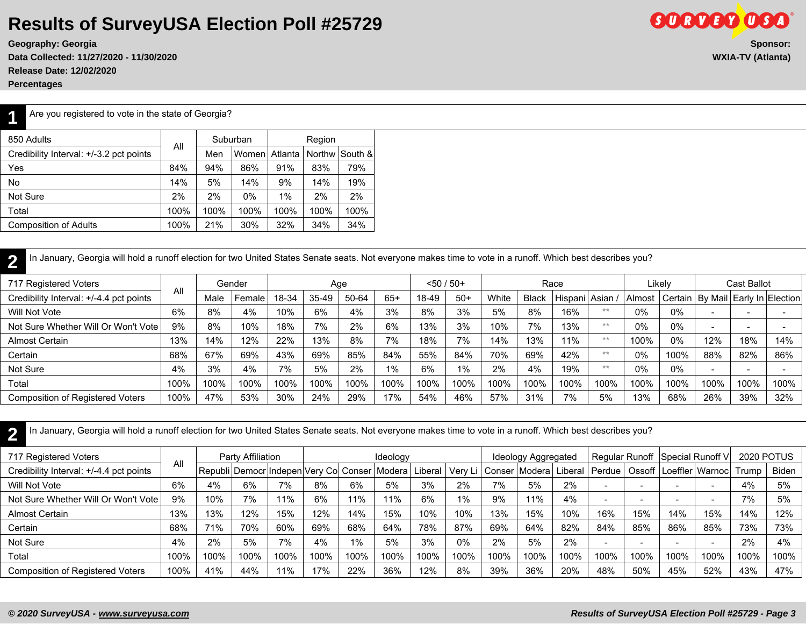**Geography: Georgia Sponsor: Data Collected: 11/27/2020 - 11/30/2020 WXIA-TV (Atlanta) Release Date: 12/02/2020**

**Percentages**

**1**

Are you registered to vote in the state of Georgia?

| 850 Adults                              |      |      | Suburban |         | Region |          |
|-----------------------------------------|------|------|----------|---------|--------|----------|
| Credibility Interval: +/-3.2 pct points | All  | Men  | Women    | Atlanta | Northw | lSouth & |
| Yes                                     | 84%  | 94%  | 86%      | 91%     | 83%    | 79%      |
| No.                                     | 14%  | 5%   | 14%      | 9%      | 14%    | 19%      |
| Not Sure                                | 2%   | 2%   | $0\%$    | 1%      | 2%     | 2%       |
| Total                                   | 100% | 100% | 100%     | 100%    | 100%   | 100%     |
| <b>Composition of Adults</b>            | 100% | 21%  | 30%      | 32%     | 34%    | 34%      |
|                                         |      |      |          |         |        |          |

**2** In January, Georgia will hold a runoff election for two United States Senate seats. Not everyone makes time to vote in a runoff. Which best describes you?

| 717 Registered Voters                   |      |      | Gender |       |       | Age   |       |       | $< 50 / 50+$ |       |              | Race          |      |        | Likely  |                          | Cast Ballot              |                           |
|-----------------------------------------|------|------|--------|-------|-------|-------|-------|-------|--------------|-------|--------------|---------------|------|--------|---------|--------------------------|--------------------------|---------------------------|
| Credibility Interval: +/-4.4 pct points | All  | Male | Female | 18-34 | 35-49 | 50-64 | $65+$ | 18-49 | $50+$        | White | <b>Black</b> | Hispani Asian |      | Almost | Certain |                          |                          | By Mail Early In Election |
| Will Not Vote                           | 6%   | 8%   | 4%     | 10%   | 6%    | 4%    | 3%    | 8%    | 3%           | 5%    | 8%           | 16%           | **   | 0%     | $0\%$   | $\overline{\phantom{0}}$ |                          |                           |
| Not Sure Whether Will Or Won't Vote     | 9%   | 8%   | 10%    | 18%   | 7%    | 2%    | 6%    | 13%   | 3%           | 10%   | 7%           | 13%           | **   | 0%     | $0\%$   | $\overline{\phantom{a}}$ | $\overline{\phantom{0}}$ |                           |
| Almost Certain                          | 13%  | 14%  | 12%    | 22%   | 13%   | 8%    | 7%    | 18%   | 7%           | 14%   | 13%          | 11%           | **   | 100%   | 0%      | 12%                      | 18%                      | 14%                       |
| Certain                                 | 68%  | 67%  | 69%    | 43%   | 69%   | 85%   | 84%   | 55%   | 84%          | 70%   | 69%          | 42%           | **   | 0%     | 100%    | 88%                      | 82%                      | 86%                       |
| Not Sure                                | 4%   | 3%   | 4%     | 7%    | 5%    | 2%    | 1%    | 6%    | 1%           | 2%    | 4%           | 19%           | **   | 0%     | 0%      | $\overline{\phantom{0}}$ |                          |                           |
| Total                                   | 100% | 100% | 100%   | 100%  | 100%  | 100%  | 100%  | 100%  | 100%         | 100%  | 100%         | 100%          | 100% | 100%   | 100%    | 100%                     | 100%                     | 100%                      |
| <b>Composition of Registered Voters</b> | 100% | 47%  | 53%    | 30%   | 24%   | 29%   | 17%   | 54%   | 46%          | 57%   | 31%          | 7%            | 5%   | 13%    | 68%     | 26%                      | 39%                      | 32%                       |

**2** In January, Georgia will hold a runoff election for two United States Senate seats. Not everyone makes time to vote in a runoff. Which best describes you?

| 717 Registered Voters                   |      |                                                      | Party Affiliation |      |      |      | Ideology |      |       |      | Ideology Aggregated           |      |                          |      | Regular Runoff Special Runoff V |                          |         | 2020 POTUS |
|-----------------------------------------|------|------------------------------------------------------|-------------------|------|------|------|----------|------|-------|------|-------------------------------|------|--------------------------|------|---------------------------------|--------------------------|---------|------------|
| Credibility Interval: +/-4.4 pct points | All  | Republi Democr Indepen Very Co Conser Modera Liberal |                   |      |      |      |          |      |       |      | I   Very Li   Conser   Modera |      | Liberal   Perdue         |      | Ossoff   Loeffler   Warnoc      |                          | . Trump | Biden      |
| Will Not Vote                           | 6%   | 4%                                                   | 6%                | 7%   | 8%   | 6%   | 5%       | 3%   | 2%    | 7%   | 5%                            | 2%   |                          |      |                                 | $\overline{\phantom{0}}$ | 4%      | 5%         |
| Not Sure Whether Will Or Won't Vote     | 9%   | 10%                                                  | 7%                | 11%  | 6%   | 11%  | 11%      | 6%   | $1\%$ | 9%   | 11%                           | 4%   | $\overline{\phantom{0}}$ |      | $\overline{\phantom{0}}$        | $\overline{\phantom{0}}$ | 7%      | 5%         |
| Almost Certain                          | 13%  | 13%                                                  | 12%               | 15%  | 12%  | 14%  | 15%      | 10%  | 10%   | 13%  | 15%                           | 10%  | 16%                      | 15%  | 14%                             | 15%                      | 14%     | 12%        |
| Certain                                 | 68%  | 71%                                                  | 70%               | 60%  | 69%  | 68%  | 64%      | 78%  | 87%   | 69%  | 64%                           | 82%  | 84%                      | 85%  | 86%                             | 85%                      | 73%     | 73%        |
| Not Sure                                | 4%   | 2%                                                   | 5%                | 7%   | 4%   | 1%   | 5%       | 3%   | $0\%$ | 2%   | 5%                            | 2%   |                          |      |                                 |                          | 2%      | 4%         |
| Total                                   | 100% | 100%                                                 | 100%              | 100% | 100% | 100% | 100%     | 100% | 100%  | 100% | 100%                          | 100% | 100%                     | 100% | 100%                            | 100%                     | 100%    | 100%       |
| <b>Composition of Registered Voters</b> | 100% | 41%                                                  | 44%               | 11%  | 17%  | 22%  | 36%      | 12%  | 8%    | 39%  | 36%                           | 20%  | 48%                      | 50%  | 45%                             | 52%                      | 43%     | 47%        |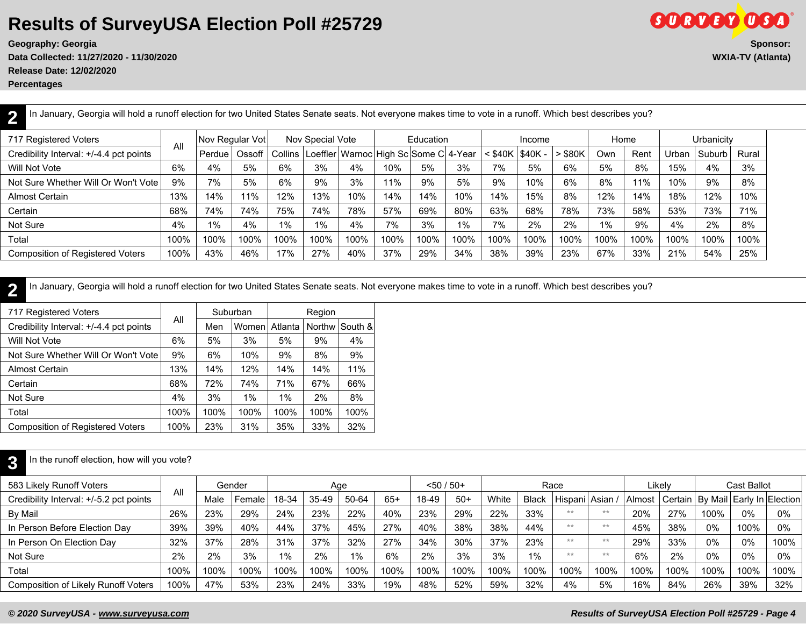**Data Collected: 11/27/2020 - 11/30/2020 WXIA-TV (Atlanta)**

**Release Date: 12/02/2020**

**Percentages**

**2**

|                                           |        |        |         |                 |      |                  |      |       |                                                          | Income |                   |       |      |              |        |            |
|-------------------------------------------|--------|--------|---------|-----------------|------|------------------|------|-------|----------------------------------------------------------|--------|-------------------|-------|------|--------------|--------|------------|
|                                           | Perdue | Ossoff | Collins |                 |      |                  |      |       |                                                          |        | $>$ \$80K         | Own   | Rent | <b>Jrban</b> | Suburb | Rural      |
| 6%                                        | 4%     | 5%     | 6%      | 3%              | 4%   | 10%              | 5%   | 3%    | 7%                                                       | 5%     | 6%                | 5%    | 8%   | 15%          | 4%     | 3%         |
| 9%<br>Not Sure Whether Will Or Won't Vote | 7%     | 5%     | 6%      | 9%              | 3%   | 11%              | 9%   | 5%    | 9%                                                       | 10%    | 6%                | 8%    | 11%  | 10%          | 9%     | 8%         |
| 13%                                       | 14%    | 11%    | 12%     | 13%             | 10%  | 14%              | 14%  | 10%   | 14%                                                      | 15%    | 8%                | 12%   | 14%  | 18%          | 12%    | 10%        |
| 68%                                       | 74%    | 74%    | 75%     | 74%             | 78%  | 57%              | 69%  | 80%   | 63%                                                      | 68%    | 78%               | 73%   | 58%  | 53%          | 73%    | 71%        |
| 4%                                        | $1\%$  | 4%     | 1%      | 1%              | 4%   | 7%               | 3%   | $1\%$ | 7%                                                       | 2%     | 2%                | $1\%$ | 9%   | 4%           | 2%     | 8%         |
| 100%                                      | 100%   | 100%   | 100%    | 100%            | 100% | 100%             | 100% | 100%  | 100%                                                     | 100%   | 100%              | 100%  | 100% | 100%         | 100%   | 100%       |
| 100%                                      | 43%    | 46%    | 17%     | 27%             | 40%  | 37%              | 29%  | 34%   | 38%                                                      | 39%    | 23%               | 67%   | 33%  | 21%          | 54%    | 25%        |
|                                           | All    |        |         | Nov Regular Vot |      | Nov Special Vote |      |       | Education<br>Loeffler   Warnoc   High Sc Some C   4-Year |        | : \$40K   \$40K - |       |      | Home         |        | Urbanicitv |

In January, Georgia will hold a runoff election for two United States Senate seats. Not everyone makes time to vote in a runoff. Which best describes you?

**2** In January, Georgia will hold a runoff election for two United States Senate seats. Not everyone makes time to vote in a runoff. Which best describes you?

| 717 Registered Voters                   |      |      | Suburban |         | Region |         |
|-----------------------------------------|------|------|----------|---------|--------|---------|
| Credibility Interval: +/-4.4 pct points | All  | Men  | Womenl   | Atlanta | Northw | South & |
| Will Not Vote                           | 6%   | 5%   | 3%       | 5%      | 9%     | 4%      |
| Not Sure Whether Will Or Won't Vote     | 9%   | 6%   | 10%      | 9%      | 8%     | 9%      |
| Almost Certain                          | 13%  | 14%  | 12%      | 14%     | 14%    | 11%     |
| Certain                                 | 68%  | 72%  | 74%      | 71%     | 67%    | 66%     |
| Not Sure                                | 4%   | 3%   | $1\%$    | $1\%$   | 2%     | 8%      |
| Total                                   | 100% | 100% | 100%     | 100%    | 100%   | 100%    |
| <b>Composition of Registered Voters</b> | 100% | 23%  | 31%      | 35%     | 33%    | 32%     |

#### **3** In the runoff election, how will you vote?

| 583 Likely Runoff Voters                   | All  |      | Gender |       | Age       |       |       | $< 50 / 50+$ |       |       |              | Race          |      |        | Likelv |       | Cast Ballot                             |        |
|--------------------------------------------|------|------|--------|-------|-----------|-------|-------|--------------|-------|-------|--------------|---------------|------|--------|--------|-------|-----------------------------------------|--------|
| Credibility Interval: +/-5.2 pct points    |      | Male | Female | 18-34 | $35 - 49$ | 50-64 | $65+$ | 18-49        | $50+$ | White | <b>Black</b> | Hispani Asian |      | Almost |        |       | Certain   By Mail   Early In   Election |        |
| By Mail                                    | 26%  | 23%  | 29%    | 24%   | 23%       | 22%   | 40%   | 23%          | 29%   | 22%   | 33%          | **            | $**$ | 20%    | 27%    | 100%  | $0\%$                                   | $0\%$  |
| In Person Before Election Day              | 39%  | 39%  | 40%    | 44%   | 37%       | 45%   | 27%   | 40%          | 38%   | 38%   | 44%          | **            | $**$ | 45%    | 38%    | 0%    | 100%                                    | 0%     |
| In Person On Election Day                  | 32%  | 37%  | 28%    | 31%   | 37%       | 32%   | 27%   | 34%          | 30%   | 37%   | 23%          | **            | $**$ | 29%    | 33%    | $0\%$ | 0%                                      | 100%   |
| Not Sure                                   | 2%   | 2%   | 3%     | 1%    | 2%        | $1\%$ | 6%    | 2%           | 3%    | 3%    | $1\%$        | **            | $**$ | 6%     | 2%     | 0%    | 0%                                      | 0%     |
| Total                                      | 100% | 100% | 100%   | 100%  | 100%      | 100%  | 100%  | 100%         | 100%  | 100%  | 100%         | 100%          | 100% | 100%   | 100%   | 100%  | 100%                                    | 100%   |
| <b>Composition of Likely Runoff Voters</b> | 100% | 47%  | 53%    | 23%   | 24%       | 33%   | 19%   | 48%          | 52%   | 59%   | 32%          | 4%            | 5%   | 16%    | 84%    | 26%   | 39%                                     | $32\%$ |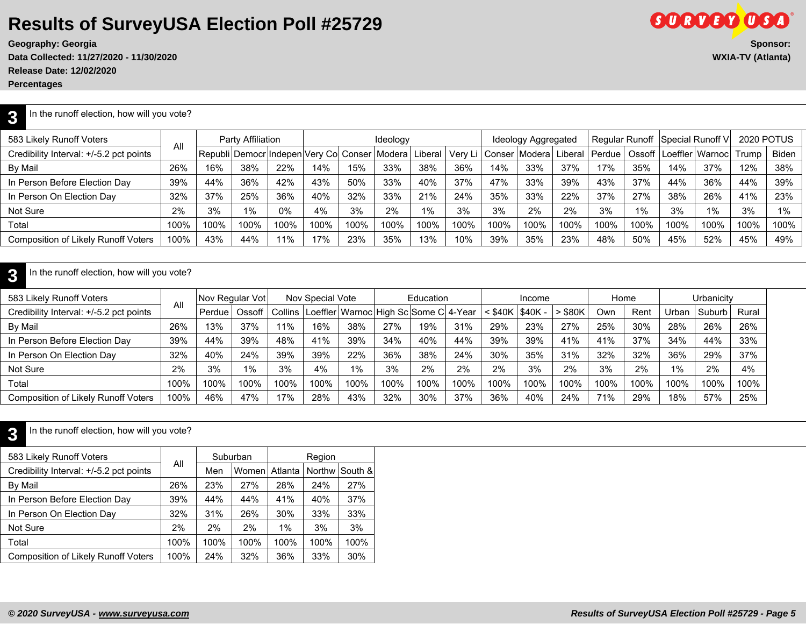**Geography: Georgia** 

Data Collected: 11/27/2020 - 11/30/2020 **Release Date: 12/02/2020**

**Percentages**

| $\sim$ $\sim$<br><b>Sponsor:</b> |  |
|----------------------------------|--|
| <b>WXIA-TV (Atlanta)</b>         |  |
|                                  |  |
|                                  |  |
|                                  |  |

**SORTED OSA** 

#### **3** In the runoff election, how will you vote?

| 583 Likely Runoff Voters                |      |      | Party Affiliation |      |                                                 |      | Ideology |         |                  |      | Ideology Aggregated |                      |            |       |      | Regular Runoff Special Runoff V | 2020 POTUS |              |
|-----------------------------------------|------|------|-------------------|------|-------------------------------------------------|------|----------|---------|------------------|------|---------------------|----------------------|------------|-------|------|---------------------------------|------------|--------------|
| Credibility Interval: +/-5.2 pct points | All  |      |                   |      | Republi Democr Indepen Very Col Conser   Modera |      |          | Liberal | Very Li   Conser |      | ∵l Modera l         | <sup>1</sup> Liberal | l Perdue l |       |      | Ossoff   Loeffler   Warnoc      | Trump      | <b>Biden</b> |
| By Mail                                 | 26%  | 16%  | 38%               | 22%  | 14%                                             | 15%  | 33%      | 38%     | 36%              | 14%  | 33%                 | 37%                  | 17%        | 35%   | 14%  | 37%                             | 12%        | 38%          |
| In Person Before Election Day           | 39%  | 44%  | 36%               | 42%  | 43%                                             | 50%  | 33%      | 40%     | 37%              | 47%  | 33%                 | 39%                  | 43%        | 37%   | 44%  | 36%                             | 44%        | 39%          |
| In Person On Election Day               | 32%  | 37%  | 25%               | 36%  | 40%                                             | 32%  | 33%      | 21%     | 24%              | 35%  | 33%                 | 22%                  | 37%        | 27%   | 38%  | 26%                             | 41%        | 23%          |
| Not Sure                                | 2%   | 3%   | 1%                | 0%   | 4%                                              | 3%   | 2%       | $1\%$   | 3%               | 3%   | 2%                  | 2%                   | 3%         | $1\%$ | 3%   | $1\%$                           | 3%         | 1%           |
| Total                                   | 100% | 100% | 100%              | 100% | 100%                                            | 100% | 100%     | 100%    | 100%             | 100% | 100%                | 100%                 | 100%       | 100%  | 100% | 100%                            | 100%       | 100%         |
| Composition of Likely Runoff Voters     | 100% | 43%  | 44%               | 11%  | 17%                                             | 23%  | 35%      | 13%     | 10%              | 39%  | 35%                 | 23%                  | 48%        | 50%   | 45%  | 52%                             | 45%        | 49%          |

#### **3** In the runoff election, how will you vote?

| 583 Likely Runoff Voters                   |      | Nov Regular Vot |        |      | Nov Special Vote |      |      | Education                                               |      |      | Income          |       | Home |      |       | Urbanicitv |       |
|--------------------------------------------|------|-----------------|--------|------|------------------|------|------|---------------------------------------------------------|------|------|-----------------|-------|------|------|-------|------------|-------|
| Credibility Interval: +/-5.2 pct points    | All  | Perdue          | Ossoff |      |                  |      |      | Collins   Loeffler   Warnoc   High Sc   Some C   4-Year |      |      | \$40K   \$40K - | \$80K | Own  | Rent | Jrban | Suburb     | Rural |
| By Mail                                    | 26%  | 13%             | 37%    | 11%  | 16%              | 38%  | 27%  | 19%                                                     | 31%  | 29%  | 23%             | 27%   | 25%  | 30%  | 28%   | 26%        | 26%   |
| In Person Before Election Day              | 39%  | 44%             | 39%    | 48%  | 41%              | 39%  | 34%  | 40%                                                     | 44%  | 39%  | 39%             | 41%   | 41%  | 37%  | 34%   | 44%        | 33%   |
| In Person On Election Day                  | 32%  | 40%             | 24%    | 39%  | 39%              | 22%  | 36%  | 38%                                                     | 24%  | 30%  | 35%             | 31%   | 32%  | 32%  | 36%   | 29%        | 37%   |
| Not Sure                                   | 2%   | 3%              | 1%     | 3%   | 4%               | 1%   | 3%   | 2%                                                      | 2%   | 2%   | 3%              | 2%    | 3%   | 2%   | 1%    | 2%         | 4%    |
| Total                                      | 100% | 100%            | 100%   | 100% | 100%             | 100% | 100% | 100%                                                    | 100% | 100% | 100%            | 100%  | 100% | 100% | 100%  | 100%       | 100%  |
| <b>Composition of Likely Runoff Voters</b> | 100% | 46%             | 47%    | 17%  | 28%              | 43%  | 32%  | 30%                                                     | 37%  | 36%  | 40%             | 24%   | 71%  | 29%  | 18%   | 57%        | 25%   |

#### **3** In the runoff election, how will you vote?

| 583 Likely Runoff Voters                   |      |      | Suburban |         | Region |                |
|--------------------------------------------|------|------|----------|---------|--------|----------------|
| Credibility Interval: +/-5.2 pct points    | All  | Men  | Women    | Atlanta |        | Northw South & |
| By Mail                                    | 26%  | 23%  | 27%      | 28%     | 24%    | 27%            |
| In Person Before Election Day              | 39%  | 44%  | 44%      | 41%     | 40%    | 37%            |
| In Person On Election Day                  | 32%  | 31%  | 26%      | 30%     | 33%    | 33%            |
| Not Sure                                   | 2%   | 2%   | 2%       | $1\%$   | 3%     | 3%             |
| Total                                      | 100% | 100% | 100%     | 100%    | 100%   | 100%           |
| <b>Composition of Likely Runoff Voters</b> | 100% | 24%  | 32%      | 36%     | 33%    | 30%            |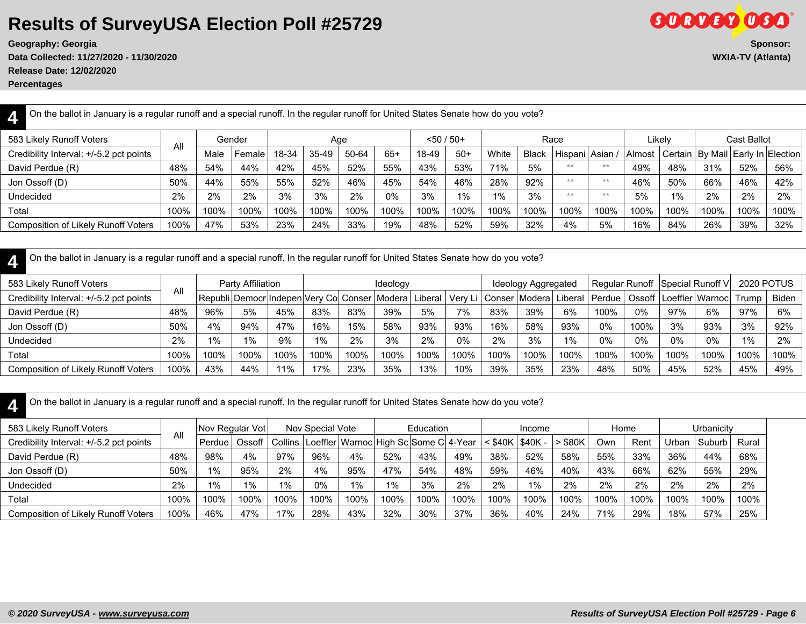**Data Collected: 11/27/2020 - 11/30/2020 WXIA-TV (Atlanta)**

**Release Date: 12/02/2020**

**Percentages**

| On the ballot in January is a regular runoff and a special runoff. In the regular runoff for United States Senate how do you vote?<br>4F |      |      |        |       |       |       |       |       |              |       |              |         |         |        |        |                                         |             |      |
|------------------------------------------------------------------------------------------------------------------------------------------|------|------|--------|-------|-------|-------|-------|-------|--------------|-------|--------------|---------|---------|--------|--------|-----------------------------------------|-------------|------|
| 583 Likely Runoff Voters                                                                                                                 |      |      | Gender |       | Age   |       |       |       | $<$ 50 / 50+ |       |              | Race    |         |        | Likelv |                                         | Cast Ballot |      |
| Credibility Interval: +/-5.2 pct points                                                                                                  | All  | Male | Female | 18-34 | 35-49 | 50-64 | $65+$ | 18-49 | $50+$        | White | <b>Black</b> | Hispani | l Asian | Almost |        | Certain   By Mail   Early In   Election |             |      |
| David Perdue (R)                                                                                                                         | 48%  | 54%  | 44%    | 42%   | 45%   | 52%   | 55%   | 43%   | 53%          | 71%   | 5%           | $***$   | **      | 49%    | 48%    | 31%                                     | 52%         | 56%  |
| Jon Ossoff (D)                                                                                                                           | 50%  | 44%  | 55%    | 55%   | 52%   | 46%   | 45%   | 54%   | 46%          | 28%   | 92%          | **      | $**$    | 46%    | 50%    | 66%                                     | 46%         | 42%  |
| <b>Undecided</b>                                                                                                                         | 2%   | 2%   | 2%     | 3%    | 3%    | 2%    | 0%    | 3%    | 1%           | 1%    | 3%           | **      | **      | 5%     | 1%     | 2%                                      | 2%          | 2%   |
| Total                                                                                                                                    | 100% | 100% | 100%   | 100%  | 100%  | 100%  | 100%  | 100%  | 100%         | 100%  | 100%         | 100%    | 100%    | 100%   | 100%   | 100%                                    | 100%        | 100% |
| <b>Composition of Likely Runoff Voters</b>                                                                                               | 100% | 47%  | 53%    | 23%   | 24%   | 33%   | 19%   | 48%   | 52%          | 59%   | 32%          | 4%      | 5%      | 16%    | 84%    | 26%                                     | 39%         | 32%  |
|                                                                                                                                          |      |      |        |       |       |       |       |       |              |       |              |         |         |        |        |                                         |             |      |

| On the ballot in January is a regular runoff and a special runoff. In the regular runoff for United States Senate how do you vote? |
|------------------------------------------------------------------------------------------------------------------------------------|
|                                                                                                                                    |

| 583 Likely Runoff Voters                   | Aľ   |       | Party Affiliation |      |        |      | Ideology                                            |      |      |      | Ideology Aggregated                           |       |        |      |      | Regular Runoff   Special Runoff V | <b>2020 POTUS</b> |       |
|--------------------------------------------|------|-------|-------------------|------|--------|------|-----------------------------------------------------|------|------|------|-----------------------------------------------|-------|--------|------|------|-----------------------------------|-------------------|-------|
| Credibility Interval: +/-5.2 pct points    |      |       |                   |      |        |      | Republi Democr Indepen Very Co  Conser   Modera   I |      |      |      | Liberal   Very Li   Conser   Modera   Liberal |       | Perdue |      |      | Ossoff   Loeffler   Warnoc        | Trump             | Biden |
| David Perdue (R)                           | 48%  | 96%   | 5%                | 45%  | 83%    | 83%  | 39%                                                 | 5%   | 7%   | 83%  | 39%                                           | 6%    | 100%   | 0%   | 97%  | 6%                                | 97%               | 6%    |
| Jon Ossoff (D)                             | 50%  | 4%    | 94%               | 47%  | 16%    | 15%  | 58%                                                 | 93%  | 93%  | 16%  | 58%                                           | 93%   | 0%     | 100% | 3%   | 93%                               | 3%                | 92%   |
| <b>Undecided</b>                           | 2%   | $1\%$ | $1\%$             | 9%   | 1%     | 2%   | 3%                                                  | 2%   | 0%   | 2%   | 3%                                            | $1\%$ | 0%     | 0%   | 0%   | 0%                                | 1%                | 2%    |
| Total                                      | 100% | 100%  | 100%              | 100% | 100%   | 100% | 100%                                                | 100% | 100% | 100% | 100%                                          | 100%  | 100%   | 100% | 100% | 100%                              | 100%              | 100%  |
| <b>Composition of Likely Runoff Voters</b> | 100% | 43%   | 44%               | 11%  | $17\%$ | 23%  | 35%                                                 | 13%  | 10%  | 39%  | 35%                                           | 23%   | 48%    | 50%  | 45%  | 52%                               | 45%               | 49%   |

**4** On the ballot in January is a regular runoff and a special runoff. In the regular runoff for United States Senate how do you vote?

| 583 Likely Runoff Voters                   |      | Nov Regular Vot     |          |      | Nov Special Vote                                        |      |      | Education |      |                     | Income |           | Home |      |       | Urbanicity |       |
|--------------------------------------------|------|---------------------|----------|------|---------------------------------------------------------|------|------|-----------|------|---------------------|--------|-----------|------|------|-------|------------|-------|
| Credibility Interval: +/-5.2 pct points    | All  | Perdue <sup>'</sup> | Ossoff I |      | Collins   Loeffler   Warnoc   High Sc   Some C   4-Year |      |      |           |      | $<$ \$40K   \$40K - |        | $>$ \$80K | Own  | Rent | Urban | Suburb     | Rural |
| David Perdue (R)                           | 48%  | 98%                 | 4%       | 97%  | 96%                                                     | 4%   | 52%  | 43%       | 49%  | 38%                 | 52%    | 58%       | 55%  | 33%  | 36%   | 44%        | 68%   |
| Jon Ossoff (D)                             | 50%  | $1\%$               | 95%      | 2%   | 4%                                                      | 95%  | 47%  | 54%       | 48%  | 59%                 | 46%    | 40%       | 43%  | 66%  | 62%   | 55%        | 29%   |
| Undecided                                  | 2%   | 1%                  | 1%       | 1%   | 0%                                                      | 1%   | 1%   | 3%        | 2%   | 2%                  | $1\%$  | 2%        | 2%   | 2%   | 2%    | 2%         | 2%    |
| Total                                      | 100% | 100%                | 100%     | 100% | 100%                                                    | 100% | 100% | 100%      | 100% | 100%                | 100%   | 100%      | 100% | 100% | 100%  | 100%       | 100%  |
| <b>Composition of Likely Runoff Voters</b> | 100% | 46%                 | 47%      | 17%  | 28%                                                     | 43%  | 32%  | $30\%$    | 37%  | 36%                 | 40%    | 24%       | 71%  | 29%  | 18%   | 57%        | 25%   |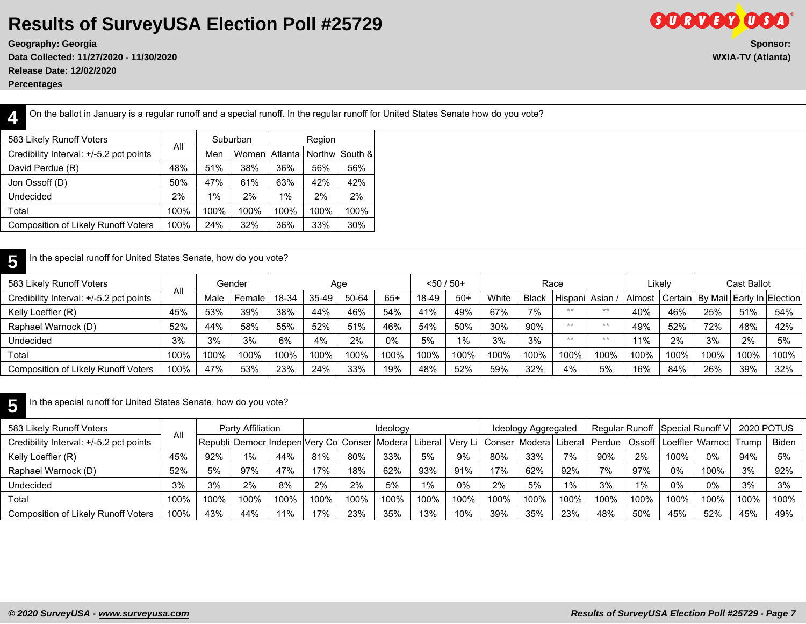**Data Collected: 11/27/2020 - 11/30/2020 WXIA-TV (Atlanta) Release Date: 12/02/2020**

**Percentages**

**GORDED OGA Geography: Georgia Sponsor:**

**4**

On the ballot in January is a regular runoff and a special runoff. In the regular runoff for United States Senate how do you vote?

| 583 Likely Runoff Voters                   |      |       | Suburban |         | Region |                |
|--------------------------------------------|------|-------|----------|---------|--------|----------------|
| Credibility Interval: +/-5.2 pct points    | All  | Men   | Women    | Atlanta |        | Northw South & |
| David Perdue (R)                           | 48%  | 51%   | 38%      | 36%     | 56%    | 56%            |
| Jon Ossoff (D)                             | 50%  | 47%   | 61%      | 63%     | 42%    | 42%            |
| Undecided                                  | 2%   | $1\%$ | 2%       | $1\%$   | 2%     | 2%             |
| Total                                      | 100% | 100%  | 100%     | 100%    | 100%   | 100%           |
| <b>Composition of Likely Runoff Voters</b> | 100% | 24%   | 32%      | 36%     | 33%    | 30%            |
|                                            |      |       |          |         |        |                |

#### **5** In the special runoff for United States Senate, how do you vote?

|      | Male | Female | 18-34  | 35-49 | 50-64 | $65+$ | 18-49 | $50+$ | White        | <b>Black</b> |      |      | Almost          |      |        |      |                                                       |
|------|------|--------|--------|-------|-------|-------|-------|-------|--------------|--------------|------|------|-----------------|------|--------|------|-------------------------------------------------------|
| 45%  | 53%  | 39%    | 38%    | 44%   | 46%   | 54%   | 41%   | 49%   | 67%          | 7%           | **   | $**$ | 40%             | 46%  | 25%    | 51%  | 54%                                                   |
| 52%  | 44%  | 58%    | 55%    | 52%   | 51%   | 46%   | 54%   | 50%   | 30%          | 90%          | **   | $**$ | 49%             | 52%  | 72%    | 48%  | 42%                                                   |
| 3%   | 3%   | 3%     | 6%     | 4%    | 2%    | 0%    | 5%    | 1%    | 3%           | 3%           | **   | $**$ | 11%             | 2%   | 3%     | 2%   | 5%                                                    |
| 100% | 100% | 100%   | 100%   | 100%  | 100%  | 100%  | 100%  | 100%  | 100%         | 100%         | 100% | 100% | 100%            | 100% | 100%   | 100% | 100%                                                  |
| 100% | 47%  | 53%    | 23%    | 24%   | 33%   | 19%   | 48%   | 52%   | 59%          | 32%          | 4%   | 5%   | 16%             | 84%  | 26%    | 39%  | 32%                                                   |
|      | Al   |        | Gender |       |       | Age   |       |       | $< 50 / 50+$ |              |      | Race | Hispani   Asian |      | ∟ikelv |      | Cast Ballot<br>Early In Election<br>Certain   By Mail |

**5** In the special runoff for United States Senate, how do you vote?

| 583 Likely Runoff Voters                   |      |      | Party Affiliation |                                                           |      |      | Ideology |      |      |                  | Ideology Aggregated |       | Regular Runoff Special Runoff V |      |      |                            | <b>2020 POTUS</b> |       |
|--------------------------------------------|------|------|-------------------|-----------------------------------------------------------|------|------|----------|------|------|------------------|---------------------|-------|---------------------------------|------|------|----------------------------|-------------------|-------|
| Credibility Interval: +/-5.2 pct points    | All  |      |                   | Republi Democr Indepen Very Co  Conser   Modera   Liberal |      |      |          |      |      | Very Li   Conser | Modera  Liberal     |       | Perdue                          |      |      | Ossoff I Loeffler   Warnoc | Trump             | Biden |
| Kelly Loeffler (R)                         | 45%  | 92%  | 1%                | 44%                                                       | 81%  | 80%  | 33%      | 5%   | 9%   | 80%              | 33%                 | 7%    | 90%                             | 2%   | 100% | 0%                         | 94%               | 5%    |
| Raphael Warnock (D)                        | 52%  | 5%   | 97%               | 47%                                                       | 17%  | 18%  | 62%      | 93%  | 91%  | 17%              | 62%                 | 92%   | 7%                              | 97%  | 0%   | 100%                       | 3%                | 92%   |
| Undecided                                  | 3%   | 3%   | 2%                | 8%                                                        | 2%   | 2%   | 5%       | 1%   | 0%   | 2%               | 5%                  | $1\%$ | 3%                              | 1%   | 0%   | 0%                         | 3%                | 3%    |
| Total                                      | 100% | 100% | 100%              | 100%                                                      | 100% | 100% | 100%     | 100% | 100% | 100%             | 100%                | 100%  | 100%                            | 100% | 100% | 100%                       | 100%              | 100%  |
| <b>Composition of Likely Runoff Voters</b> | 100% | 43%  | 44%               | 11%                                                       | 17%  | 23%  | 35%      | 13%  | 10%  | 39%              | 35%                 | 23%   | 48%                             | 50%  | 45%  | 52%                        | 45%               | 49%   |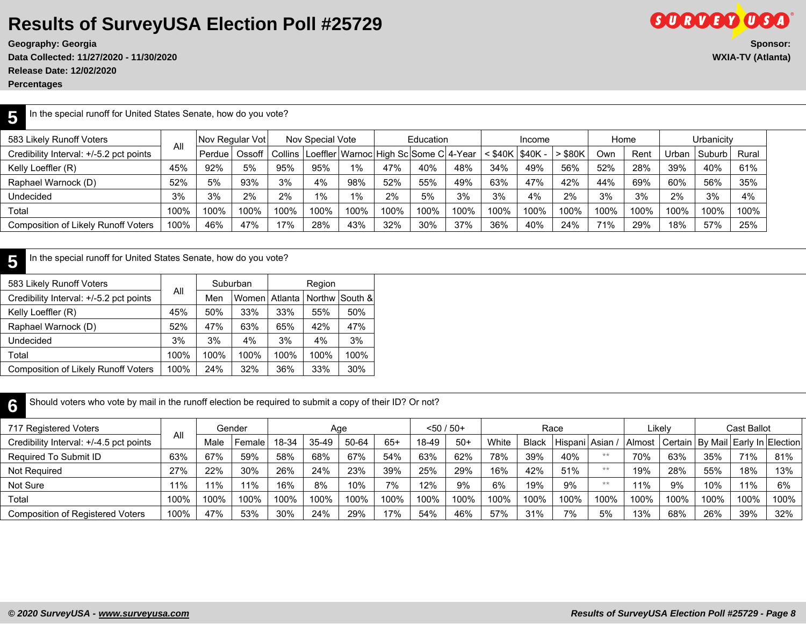**Data Collected: 11/27/2020 - 11/30/2020 WXIA-TV (Atlanta) Release Date: 12/02/2020**

**Percentages**

# **Geography: Georgia** Sponsor: Sponsor: Sponsor: Sponsor: Sponsor: Sponsor: Sponsor: Sponsor: Sponsor: Sponsor: Sponsor: Sponsor: Sponsor: Sponsor: Sponsor: Sponsor: Sponsor: Sponsor: Sponsor: Sponsor: Sponsor: Sponsor: Spo

**GORVEY OGO** 

| In the special runoff for United States Senate, how do you vote?                                                                                                                       |      |        |        |      |      |       |      |      |      |      |                 |       |      |      |              |        |       |
|----------------------------------------------------------------------------------------------------------------------------------------------------------------------------------------|------|--------|--------|------|------|-------|------|------|------|------|-----------------|-------|------|------|--------------|--------|-------|
| Urbanicity<br>583 Likely Runoff Voters<br>Nov Special Vote<br><b>Nov Regular Votl</b><br>Education<br>Home<br>Income<br>All<br>Collins   Loeffler   Warnoc   High Sc   Some C   4-Year |      |        |        |      |      |       |      |      |      |      |                 |       |      |      |              |        |       |
| Credibility Interval: +/-5.2 pct points                                                                                                                                                |      | Perdue | Ossoff |      |      |       |      |      |      |      | \$40K   \$40K - | \$80K | Own  | Rent | <b>Jrban</b> | Suburb | Rural |
| Kelly Loeffler (R)                                                                                                                                                                     | 45%  | 92%    | 5%     | 95%  | 95%  | $1\%$ | 47%  | 40%  | 48%  | 34%  | 49%             | 56%   | 52%  | 28%  | 39%          | 40%    | 61%   |
| Raphael Warnock (D)                                                                                                                                                                    | 52%  | 5%     | 93%    | 3%   | 4%   | 98%   | 52%  | 55%  | 49%  | 63%  | 47%             | 42%   | 44%  | 69%  | 60%          | 56%    | 35%   |
| Undecided                                                                                                                                                                              | 3%   | 3%     | 2%     | 2%   | 1%   | $1\%$ | 2%   | 5%   | 3%   | 3%   | 4%              | 2%    | 3%   | 3%   | 2%           | 3%     | 4%    |
| Total                                                                                                                                                                                  | 100% | 100%   | 100%   | 100% | 100% | 100%  | 100% | 100% | 100% | 100% | 100%            | 100%  | 100% | 100% | 100%         | 100%   | 100%  |
| Composition of Likely Runoff Voters                                                                                                                                                    | 100% | 46%    | 47%    | 17%  | 28%  | 43%   | 32%  | 30%  | 37%  | 36%  | 40%             | 24%   | 71%  | 29%  | 18%          | 57%    | 25%   |

#### **5** In the special runoff for United States Senate, how do you vote?

| 583 Likely Runoff Voters                   | All  |      | Suburban |         | Region |                |
|--------------------------------------------|------|------|----------|---------|--------|----------------|
| Credibility Interval: +/-5.2 pct points    |      | Men  | Womenl   | Atlanta |        | Northw South & |
| Kelly Loeffler (R)                         | 45%  | 50%  | 33%      | 33%     | 55%    | 50%            |
| Raphael Warnock (D)                        | 52%  | 47%  | 63%      | 65%     | 42%    | 47%            |
| Undecided                                  | 3%   | 3%   | 4%       | 3%      | 4%     | 3%             |
| Total                                      | 100% | 100% | 100%     | 100%    | 100%   | 100%           |
| <b>Composition of Likely Runoff Voters</b> | 100% | 24%  | 32%      | 36%     | 33%    | 30%            |

| Should voters who vote by mail in the runoff election be required to submit a copy of their ID? Or not? |                                                                                                                                     |      |        |       |           |       |       |       |       |       |              |      |      |        |      |      |      |      |
|---------------------------------------------------------------------------------------------------------|-------------------------------------------------------------------------------------------------------------------------------------|------|--------|-------|-----------|-------|-------|-------|-------|-------|--------------|------|------|--------|------|------|------|------|
| 717 Registered Voters                                                                                   | Cast Ballot<br>$< 50 / 50+$<br>Likely<br>Gender<br>Race<br>Age<br>All<br>Hispani Asian<br>  Certain   By Mail   Early In   Election |      |        |       |           |       |       |       |       |       |              |      |      |        |      |      |      |      |
| Credibility Interval: +/-4.5 pct points                                                                 |                                                                                                                                     | Male | Female | 18-34 | $35 - 49$ | 50-64 | $65+$ | 18-49 | $50+$ | White | <b>Black</b> |      |      | Almost |      |      |      |      |
| Required To Submit ID                                                                                   | 63%                                                                                                                                 | 67%  | 59%    | 58%   | 68%       | 67%   | 54%   | 63%   | 62%   | 78%   | 39%          | 40%  | $**$ | 70%    | 63%  | 35%  | 71%  | 81%  |
| Not Required                                                                                            | 27%                                                                                                                                 | 22%  | 30%    | 26%   | 24%       | 23%   | 39%   | 25%   | 29%   | 16%   | 42%          | 51%  | $**$ | 19%    | 28%  | 55%  | 18%  | 13%  |
| Not Sure                                                                                                | 11%                                                                                                                                 | 11%  | 11%    | 16%   | 8%        | 10%   | 7%    | 12%   | 9%    | 6%    | 19%          | 9%   | $**$ | 11%    | 9%   | 10%  | 11%  | 6%   |
| Total                                                                                                   | 100%                                                                                                                                | 100% | 100%   | 100%  | 100%      | 100%  | 100%  | 100%  | 100%  | 100%  | 100%         | 100% | 100% | 100%   | 100% | 100% | 100% | 100% |
| <b>Composition of Registered Voters</b>                                                                 | 100%                                                                                                                                | 47%  | 53%    | 30%   | 24%       | 29%   | 17%   | 54%   | 46%   | 57%   | 31%          | 7%   | 5%   | 13%    | 68%  | 26%  | 39%  | 32%  |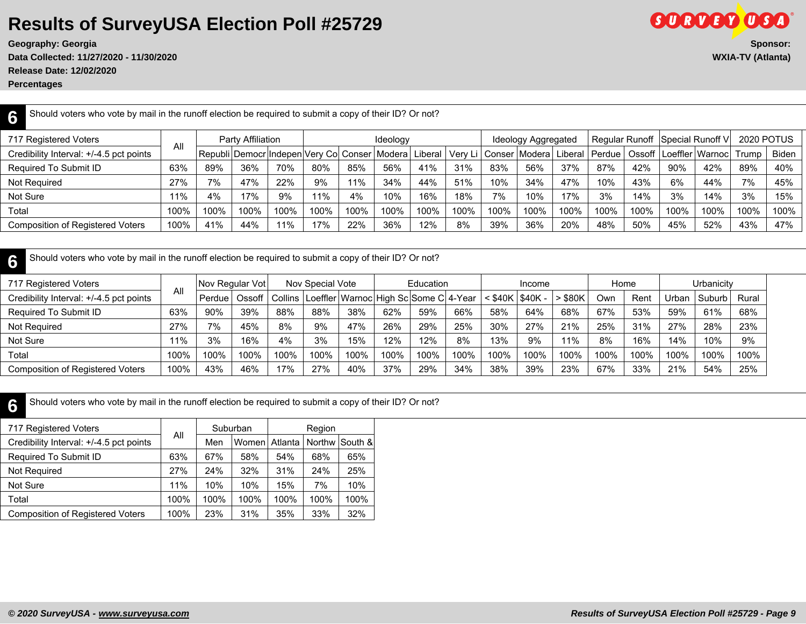**Release Date: 12/02/2020**

**Percentages**

**GORDED OSA Geography: Georgia** Sponsor: Sponsor: Sponsor: Sponsor: Sponsor: Sponsor: Sponsor: Sponsor: Sponsor: Sponsor: Sponsor: Sponsor: Sponsor: Sponsor: Sponsor: Sponsor: Sponsor: Sponsor: Sponsor: Sponsor: Sponsor: Sponsor: Spo **Data Collected: 11/27/2020 - 11/30/2020 WXIA-TV (Atlanta)**

| Should voters who vote by mail in the runoff election be required to submit a copy of their ID? Or not?<br>6                                                                                                                                               |      |      |                   |      |      |      |          |      |      |      |                     |      |      |      |      |      |                   |      |
|------------------------------------------------------------------------------------------------------------------------------------------------------------------------------------------------------------------------------------------------------------|------|------|-------------------|------|------|------|----------|------|------|------|---------------------|------|------|------|------|------|-------------------|------|
| 717 Registered Voters                                                                                                                                                                                                                                      |      |      | Party Affiliation |      |      |      | Ideology |      |      |      | Ideology Aggregated |      |      |      |      |      | <b>2020 POTUS</b> |      |
| Regular Runoff Special Runoff V<br>All<br>Liberal   Perdue   Ossoff   Loeffler   Warnoc   Trump<br>Very Li   Conser   Modera  <br><b>Biden</b><br>Credibility Interval: +/-4.5 pct points<br>Republi   Democr  Indepen  Very Co  Conser   Modera   Liberal |      |      |                   |      |      |      |          |      |      |      |                     |      |      |      |      |      |                   |      |
| Required To Submit ID                                                                                                                                                                                                                                      | 63%  | 89%  | 36%               | 70%  | 80%  | 85%  | 56%      | 41%  | 31%  | 83%  | 56%                 | 37%  | 87%  | 42%  | 90%  | 42%  | 89%               | 40%  |
| Not Required                                                                                                                                                                                                                                               | 27%  | 7%   | 47%               | 22%  | 9%   | 11%  | 34%      | 44%  | 51%  | 10%  | 34%                 | 47%  | 10%  | 43%  | 6%   | 44%  | 7%                | 45%  |
| Not Sure                                                                                                                                                                                                                                                   | 11%  | 4%   | 17%               | 9%   | 11%  | 4%   | 10%      | 16%  | 18%  | 7%   | 10%                 | 17%  | 3%   | 14%  | 3%   | 14%  | 3%                | 15%  |
| Total                                                                                                                                                                                                                                                      | 100% | 100% | 100%              | 100% | 100% | 100% | 100%     | 100% | 100% | 100% | 100%                | 100% | 100% | 100% | 100% | 100% | 100%              | 100% |
| <b>Composition of Registered Voters</b>                                                                                                                                                                                                                    | 100% | 41%  | 44%               | 11%  | 17%  | 22%  | 36%      | 12%  | 8%   | 39%  | 36%                 | 20%  | 48%  | 50%  | 45%  | 52%  | 43%               | 47%  |
|                                                                                                                                                                                                                                                            |      |      |                   |      |      |      |          |      |      |      |                     |      |      |      |      |      |                   |      |

| Should voters who vote by mail in the runoff election be required to submit a copy of their ID? Or not? |                                                                                                                                                                                    |        |      |      |      |      |      |      |      |      |      |           |      |      |       |          |       |
|---------------------------------------------------------------------------------------------------------|------------------------------------------------------------------------------------------------------------------------------------------------------------------------------------|--------|------|------|------|------|------|------|------|------|------|-----------|------|------|-------|----------|-------|
| 717 Registered Voters                                                                                   | Education<br>Urbanicity<br>Nov Regular Votl<br>Nov Special Vote<br>Home<br>Income<br>All<br>$<$ \$40K   \$40K -<br>Loeffler   Warnoc   High Sc   Some C   4-Year<br>Ossoff丨Collins |        |      |      |      |      |      |      |      |      |      |           |      |      |       |          |       |
| Credibility Interval: +/-4.5 pct points                                                                 |                                                                                                                                                                                    | Perdue |      |      |      |      |      |      |      |      |      | $>$ \$80K | Own  | Rent | Urban | . Suburb | Rural |
| Required To Submit ID                                                                                   | 63%                                                                                                                                                                                | 90%    | 39%  | 88%  | 88%  | 38%  | 62%  | 59%  | 66%  | 58%  | 64%  | 68%       | 67%  | 53%  | 59%   | 61%      | 68%   |
| Not Required                                                                                            | 27%                                                                                                                                                                                | 7%     | 45%  | 8%   | 9%   | 47%  | 26%  | 29%  | 25%  | 30%  | 27%  | 21%       | 25%  | 31%  | 27%   | 28%      | 23%   |
| Not Sure                                                                                                | 11%                                                                                                                                                                                | 3%     | 16%  | 4%   | 3%   | 15%  | 12%  | 12%  | 8%   | 13%  | 9%   | 11%       | 8%   | 16%  | 14%   | 10%      | 9%    |
| Total                                                                                                   | 100%                                                                                                                                                                               | 100%   | 100% | 100% | 100% | 100% | 100% | 100% | 100% | 100% | 100% | 100%      | 100% | 100% | 100%  | 100%     | 100%  |
| Composition of Registered Voters                                                                        | 100%                                                                                                                                                                               | 43%    | 46%  | 17%  | 27%  | 40%  | 37%  | 29%  | 34%  | 38%  | 39%  | 23%       | 67%  | 33%  | 21%   | 54%      | 25%   |

**6** Should voters who vote by mail in the runoff election be required to submit a copy of their ID? Or not?

|      |      |      |          | Region        |                |
|------|------|------|----------|---------------|----------------|
|      | Men  |      |          |               | Northw South & |
| 63%  | 67%  | 58%  | 54%      | 68%           | 65%            |
| 27%  | 24%  | 32%  | 31%      | 24%           | 25%            |
| 11%  | 10%  | 10%  | 15%      | 7%            | 10%            |
| 100% | 100% | 100% | 100%     | 100%          | 100%           |
| 100% | 23%  | 31%  | 35%      | 33%           | 32%            |
|      | All  |      | Suburban | Women Atlanta |                |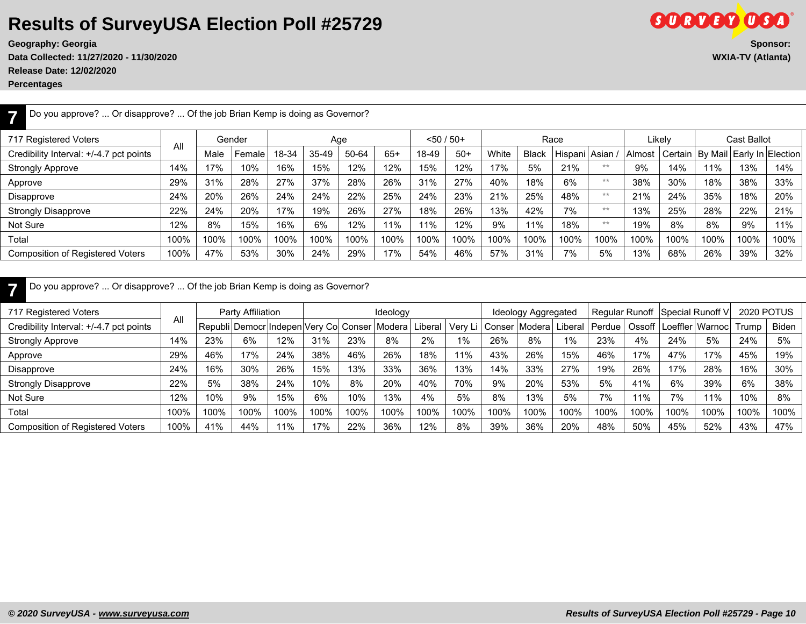**Data Collected: 11/27/2020 - 11/30/2020 WXIA-TV (Atlanta)**

**Release Date: 12/02/2020**

**Percentages**

| Do you approve?  Or disapprove?  Of the job Brian Kemp is doing as Governor? |      |      |        |       |       |       |       |              |       |       |              |               |      |        |        |                   |                    |      |
|------------------------------------------------------------------------------|------|------|--------|-------|-------|-------|-------|--------------|-------|-------|--------------|---------------|------|--------|--------|-------------------|--------------------|------|
| 717 Registered Voters                                                        | All  |      | Gender |       |       | Age   |       | $< 50 / 50+$ |       |       |              | Race          |      |        | Likelv |                   | <b>Cast Ballot</b> |      |
| Credibility Interval: +/-4.7 pct points                                      |      | Male | Female | 18-34 | 35-49 | 50-64 | $65+$ | 18-49        | $50+$ | White | <b>Black</b> | Hispani Asian |      | Almost |        | Certain   By Mail | Early In Election  |      |
| <b>Strongly Approve</b>                                                      | 14%  | 17%  | 10%    | 16%   | 15%   | 12%   | 12%   | 15%          | 12%   | 17%   | 5%           | 21%           | **   | 9%     | 14%    | 11%               | 13%                | 14%  |
| Approve                                                                      | 29%  | 31%  | 28%    | 27%   | 37%   | 28%   | 26%   | 31%          | 27%   | 40%   | 18%          | 6%            | **   | 38%    | 30%    | 18%               | 38%                | 33%  |
| Disapprove                                                                   | 24%  | 20%  | 26%    | 24%   | 24%   | 22%   | 25%   | 24%          | 23%   | 21%   | 25%          | 48%           | **   | 21%    | 24%    | 35%               | 18%                | 20%  |
| <b>Strongly Disapprove</b>                                                   | 22%  | 24%  | 20%    | 17%   | 19%   | 26%   | 27%   | 18%          | 26%   | 13%   | 42%          | 7%            | $**$ | 13%    | 25%    | 28%               | 22%                | 21%  |
| Not Sure                                                                     | 12%  | 8%   | 15%    | 16%   | 6%    | 12%   | 11%   | 11%          | 12%   | 9%    | 11%          | 18%           | $**$ | 19%    | 8%     | 8%                | 9%                 | 11%  |
| Total                                                                        | 100% | 100% | 100%   | 100%  | 100%  | 100%  | 100%  | 100%         | 100%  | 100%  | 100%         | 100%          | 100% | 100%   | 100%   | 100%              | 100%               | 100% |
| <b>Composition of Registered Voters</b>                                      | 100% | 47%  | 53%    | 30%   | 24%   | 29%   | 17%   | 54%          | 46%   | 57%   | 31%          | 7%            | 5%   | 13%    | 68%    | 26%               | 39%                | 32%  |
|                                                                              |      |      |        |       |       |       |       |              |       |       |              |               |      |        |        |                   |                    |      |

|  |  |  |  | Do you approve?  Or disapprove?  Of the job Brian Kemp is doing as Governor? |  |
|--|--|--|--|------------------------------------------------------------------------------|--|
|--|--|--|--|------------------------------------------------------------------------------|--|

| 717 Registered Voters                   |      |      | Party Affiliation |      |      |      | Ideology                                            |         |      |        | Ideology Aggregated |         |        |      | Regular Runoff Special Runoff V |      |       | 2020 POTUS   |
|-----------------------------------------|------|------|-------------------|------|------|------|-----------------------------------------------------|---------|------|--------|---------------------|---------|--------|------|---------------------------------|------|-------|--------------|
| Credibility Interval: +/-4.7 pct points | All  |      |                   |      |      |      | Republi   Democr  Indepen  Very Col Conser   Modera | Liberal | Verv | Conser | l Modera l          | Liberal | Perdue |      | Ossoff   Loeffler   Warnoc      |      | Trump | <b>Biden</b> |
| <b>Strongly Approve</b>                 | 14%  | 23%  | 6%                | 12%  | 31%  | 23%  | 8%                                                  | 2%      | 1%   | 26%    | 8%                  | 1%      | 23%    | 4%   | 24%                             | 5%   | 24%   | 5%           |
| Approve                                 | 29%  | 46%  | 17%               | 24%  | 38%  | 46%  | 26%                                                 | 18%     | 11%  | 43%    | 26%                 | 15%     | 46%    | 17%  | 47%                             | 17%  | 45%   | 19%          |
| Disapprove                              | 24%  | 16%  | 30%               | 26%  | 15%  | 13%  | 33%                                                 | 36%     | 13%  | 14%    | 33%                 | 27%     | 19%    | 26%  | 17%                             | 28%  | 16%   | 30%          |
| <b>Strongly Disapprove</b>              | 22%  | 5%   | 38%               | 24%  | 10%  | 8%   | 20%                                                 | 40%     | 70%  | 9%     | 20%                 | 53%     | 5%     | 41%  | 6%                              | 39%  | 6%    | 38%          |
| Not Sure                                | 12%  | 10%  | 9%                | 15%  | 6%   | 10%  | 13%                                                 | 4%      | 5%   | 8%     | 13%                 | 5%      | 7%     | 11%  | 7%                              | 11%  | 10%   | 8%           |
| Total                                   | 100% | 100% | 100%              | 100% | 100% | 100% | 100%                                                | 100%    | 100% | 100%   | 100%                | 100%    | 100%   | 100% | 100%                            | 100% | 100%  | 100%         |
| <b>Composition of Registered Voters</b> | 100% | 41%  | 44%               | 11%  | 17%  | 22%  | 36%                                                 | 12%     | 8%   | 39%    | 36%                 | 20%     | 48%    | 50%  | 45%                             | 52%  | 43%   | 47%          |

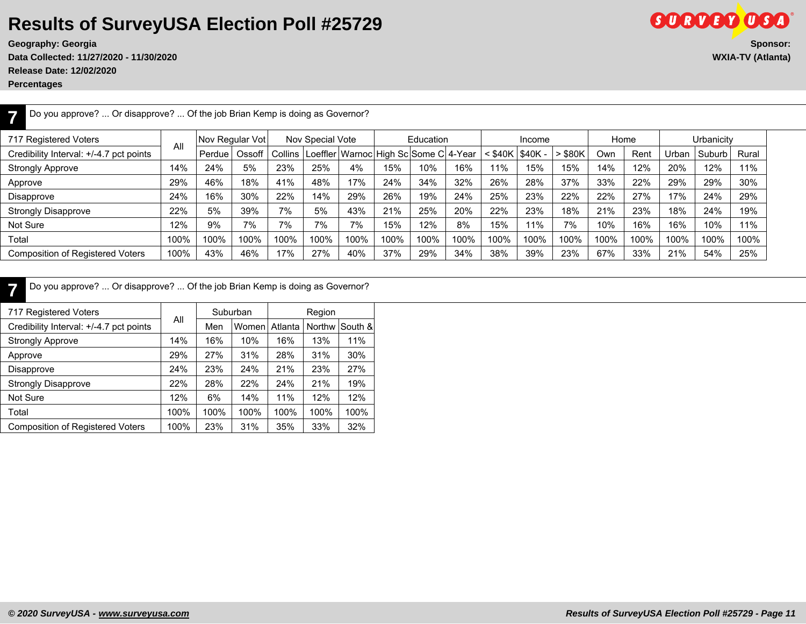**Data Collected: 11/27/2020 - 11/30/2020 WXIA-TV (Atlanta) Release Date: 12/02/2020**

**Percentages**

**SURVEY USA Geography: Georgia Sponsor:**

**7** Do you approve? ... Or disapprove? ... Of the job Brian Kemp is doing as Governor? 717 Registered Voters All Nov Regular Vot | Nov Special Vote | Education | Income | Home | Urbanicity Credibility Interval: +/-4.7 pct points | " |Perdue | Ossoff | Collins |Loeffler |Warnoc | High Sc Some C | 4-Year | < \$40K | \$40K - | > \$80K | Own | Rent | Urban | Suburb | Rural Strongly Approve | 14% | 24% | 5% | 23% | 25% | 4% | 15% | 10% | 11% | 15% | 15% | 14% | 12% | 20% | 12% | 11% Approve | 29% | 46% | 18% | 41% | 48% | 17% | 24% | 34% | 32% | 26% | 28% | 37% | 33% | 22% | 29% | 29% | 30% Disapprove | 24% | 16% | 30% | 22% | 14% | 29% | 26% | 19% | 24% | 25% | 23% | 22% | 27% | 27% | 17% | 24% | 29% Strongly Disapprove | 22% | 5% | 39% | 7% | 5% | 43% | 21% | 25% | 20% | 22% | 23% | 18% | 23% | 18% | 24% | 19% Not Sure | 12% | 9% | 7% | 7% | 7% | 7% | 15% | 12% | 8% | 15% | 11% | 7% | 10% | 16% | 16% | 10% | 11% Total | 100% | 100% | 100% | 100% | 100% | 100% | 100% | 100% | 100% | 100% | 100% | 100% | 100% | 100% | 100% | 100% | 100% | 100% | 100% | 100% | 100% Composition of Registered Voters | 100% | 43% | 46% | 17% | 27% | 40% | 37% | 29% | 34% | 38% | 23% | 67% | 33% | 21% | 54% | 25%

**7** Do you approve? ... Or disapprove? ... Of the job Brian Kemp is doing as Governor?

| 717 Registered Voters                   |      |      | Suburban |         | Region |         |
|-----------------------------------------|------|------|----------|---------|--------|---------|
| Credibility Interval: +/-4.7 pct points | All  | Men  | Women    | Atlanta | Northw | South & |
| <b>Strongly Approve</b>                 | 14%  | 16%  | 10%      | 16%     | 13%    | 11%     |
| Approve                                 | 29%  | 27%  | 31%      | 28%     | 31%    | 30%     |
| Disapprove                              | 24%  | 23%  | 24%      | 21%     | 23%    | 27%     |
| <b>Strongly Disapprove</b>              | 22%  | 28%  | 22%      | 24%     | 21%    | 19%     |
| Not Sure                                | 12%  | 6%   | 14%      | 11%     | 12%    | 12%     |
| Total                                   | 100% | 100% | 100%     | 100%    | 100%   | 100%    |
| <b>Composition of Registered Voters</b> | 100% | 23%  | 31%      | 35%     | 33%    | 32%     |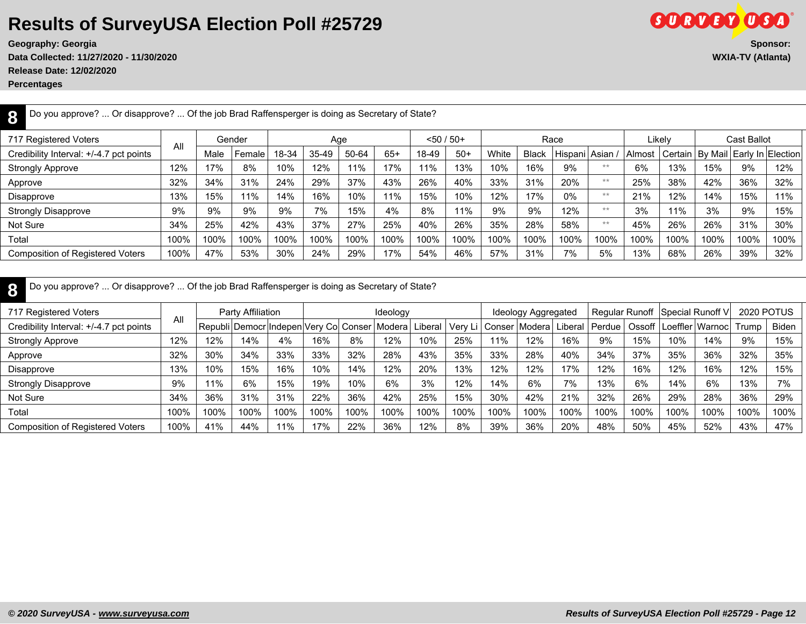**Geography: Georgia** 

**Data Collected: 11/27/2020 - 11/30/2020 WXIA-TV (Atlanta)**

**Release Date: 12/02/2020**

**Percentages**

| יי           | ®                         |
|--------------|---------------------------|
|              | Sponsor:                  |
| <u>WYW A</u> | $T\mathcal{U}$ (Allocato) |

| Do you approve?  Or disapprove?  Of the job Brad Raffensperger is doing as Secretary of State? |      |      |        |       |         |       |       |           |       |       |              |                   |       |        |         |      |                               |      |
|------------------------------------------------------------------------------------------------|------|------|--------|-------|---------|-------|-------|-----------|-------|-------|--------------|-------------------|-------|--------|---------|------|-------------------------------|------|
| 717 Registered Voters                                                                          |      |      | Gender |       | Age     |       |       | <50 / 50+ |       |       |              | Race              |       |        | Likely  |      | Cast Ballot                   |      |
| Credibility Interval: +/-4.7 pct points                                                        | All  | Male | Female | 18-34 | $35-49$ | 50-64 | $65+$ | 18-49     | $50+$ | White | <b>Black</b> | Hispani   Asian / |       | Almost | Certain |      | By Mail   Early In   Election |      |
| Strongly Approve                                                                               | 12%  | 17%  | 8%     | 10%   | 12%     | 11%   | 17%   | 11%       | 13%   | 10%   | 16%          | 9%                | **    | 6%     | 13%     | 15%  | 9%                            | 12%  |
| Approve                                                                                        | 32%  | 34%  | 31%    | 24%   | 29%     | 37%   | 43%   | 26%       | 40%   | 33%   | 31%          | 20%               | **    | 25%    | 38%     | 42%  | 36%                           | 32%  |
| Disapprove                                                                                     | 13%  | 15%  | 11%    | 14%   | 16%     | 10%   | 11%   | 15%       | 10%   | 12%   | 17%          | 0%                | $**$  | 21%    | 12%     | 14%  | 15%                           | 11%  |
| <b>Strongly Disapprove</b>                                                                     | 9%   | 9%   | 9%     | 9%    | 7%      | 15%   | 4%    | 8%        | 11%   | 9%    | 9%           | 12%               | $**$  | 3%     | 11%     | 3%   | 9%                            | 15%  |
| Not Sure                                                                                       | 34%  | 25%  | 42%    | 43%   | 37%     | 27%   | 25%   | 40%       | 26%   | 35%   | 28%          | 58%               | $***$ | 45%    | 26%     | 26%  | 31%                           | 30%  |
| Total                                                                                          | 100% | 100% | 100%   | 100%  | 100%    | 100%  | 100%  | 100%      | 100%  | 100%  | 100%         | 100%              | 100%  | 100%   | 100%    | 100% | 100%                          | 100% |
| <b>Composition of Registered Voters</b>                                                        | 100% | 47%  | 53%    | 30%   | 24%     | 29%   | 17%   | 54%       | 46%   | 57%   | 31%          | 7%                | 5%    | 13%    | 68%     | 26%  | 39%                           | 32%  |

| Do you approve?  Or disapprove?  Of the job Brad Raffensperger is doing as Secretary of State? |      |                    |                   |      |                         |      |               |         |         |        |                     |      |        |      |      |                                   |                   |       |
|------------------------------------------------------------------------------------------------|------|--------------------|-------------------|------|-------------------------|------|---------------|---------|---------|--------|---------------------|------|--------|------|------|-----------------------------------|-------------------|-------|
| 717 Registered Voters                                                                          | All  |                    | Party Affiliation |      |                         |      | Ideology      |         |         |        | Ideology Aggregated |      |        |      |      | Regular Runoff   Special Runoff V | <b>2020 POTUS</b> |       |
| Credibility Interval: +/-4.7 pct points                                                        |      | l Republi   Democr |                   |      | Indepen Very Co  Conser |      | <i>Nodera</i> | Liberal | Very Li | Conser | Modera  Liberal     |      | Perdue |      |      | Ossoff   Loeffler   Warnoc        | Trump             | Biden |
| <b>Strongly Approve</b>                                                                        | 12%  | 12%                | 14%               | 4%   | 16%                     | 8%   | 12%           | 10%     | 25%     | 11%    | 12%                 | 16%  | 9%     | 15%  | 10%  | 14%                               | 9%                | 15%   |
| Approve                                                                                        | 32%  | 30%                | 34%               | 33%  | 33%                     | 32%  | 28%           | 43%     | 35%     | 33%    | 28%                 | 40%  | 34%    | 37%  | 35%  | 36%                               | 32%               | 35%   |
| Disapprove                                                                                     | 13%  | 10%                | 15%               | 16%  | 10%                     | 14%  | 12%           | 20%     | 13%     | 12%    | 12%                 | 17%  | 12%    | 16%  | 12%  | 16%                               | 12%               | 15%   |
| <b>Strongly Disapprove</b>                                                                     | 9%   | 11%                | 6%                | 15%  | 19%                     | 10%  | 6%            | 3%      | 12%     | 14%    | 6%                  | 7%   | 13%    | 6%   | 14%  | 6%                                | 13%               | 7%    |
| Not Sure                                                                                       | 34%  | 36%                | 31%               | 31%  | 22%                     | 36%  | 42%           | 25%     | 15%     | 30%    | 42%                 | 21%  | 32%    | 26%  | 29%  | 28%                               | 36%               | 29%   |
| Total                                                                                          | 100% | 100%               | 100%              | 100% | 100%                    | 100% | 100%          | 100%    | 100%    | 100%   | 100%                | 100% | 100%   | 100% | 100% | 100%                              | 100%              | 100%  |
| <b>Composition of Registered Voters</b>                                                        | 100% | 41%                | 44%               | 11%  | 17%                     | 22%  | 36%           | 12%     | 8%      | 39%    | 36%                 | 20%  | 48%    | 50%  | 45%  | 52%                               | 43%               | 47%   |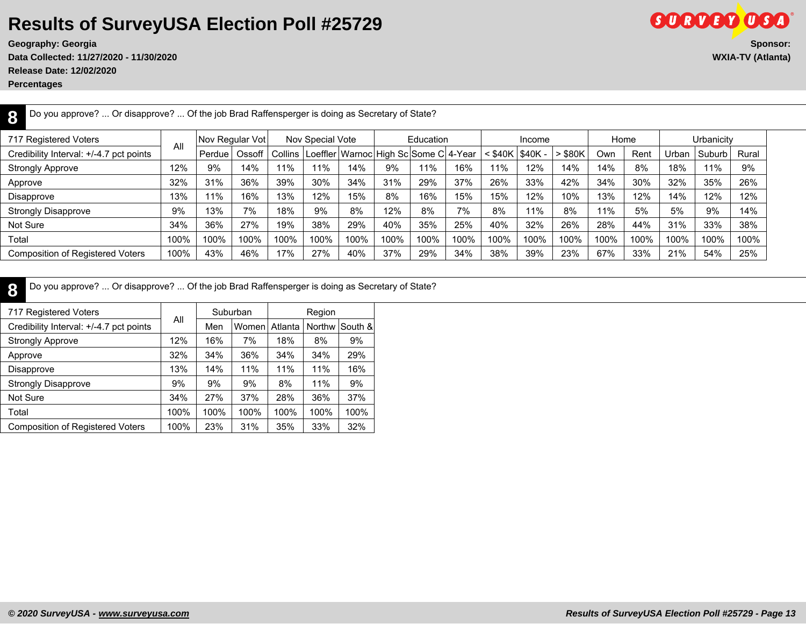**Data Collected: 11/27/2020 - 11/30/2020 WXIA-TV (Atlanta) Release Date: 12/02/2020**

**Percentages**

| Do you approve?  Or disapprove?  Of the job Brad Raffensperger is doing as Secretary of State? |      |        |                 |         |                  |                                               |      |           |      |                     |        |           |      |      |       |            |       |
|------------------------------------------------------------------------------------------------|------|--------|-----------------|---------|------------------|-----------------------------------------------|------|-----------|------|---------------------|--------|-----------|------|------|-------|------------|-------|
| 717 Registered Voters                                                                          |      |        | Nov Regular Vot |         | Nov Special Vote |                                               |      | Education |      |                     | Income |           | Home |      |       | Urbanicity |       |
| Credibility Interval: +/-4.7 pct points                                                        | All  | Perdue | Ossoff          | Collins |                  | Loeffler   Warnoc   High Sc   Some C   4-Year |      |           |      | $<$ \$40K   \$40K - |        | $>$ \$80K | Own  | Rent | Urbar | Suburb     | Rural |
| <b>Strongly Approve</b>                                                                        | 12%  | 9%     | 14%             | 11%     | 11%              | 14%                                           | 9%   | 11%       | 16%  | 11%                 | 12%    | 14%       | 14%  | 8%   | 18%   | 11%        | 9%    |
| Approve                                                                                        | 32%  | 31%    | 36%             | 39%     | 30%              | 34%                                           | 31%  | 29%       | 37%  | 26%                 | 33%    | 42%       | 34%  | 30%  | 32%   | 35%        | 26%   |
| Disapprove                                                                                     | 13%  | 11%    | 16%             | 13%     | 12%              | 15%                                           | 8%   | 16%       | 15%  | 15%                 | 12%    | 10%       | 13%  | 12%  | 14%   | 12%        | 12%   |
| <b>Strongly Disapprove</b>                                                                     | 9%   | 13%    | 7%              | 18%     | 9%               | 8%                                            | 12%  | 8%        | 7%   | 8%                  | 11%    | 8%        | 11%  | 5%   | 5%    | 9%         | 14%   |
| Not Sure                                                                                       | 34%  | 36%    | 27%             | 19%     | 38%              | 29%                                           | 40%  | 35%       | 25%  | 40%                 | 32%    | 26%       | 28%  | 44%  | 31%   | 33%        | 38%   |
| Total                                                                                          | 100% | 100%   | 100%            | 100%    | 100%             | 100%                                          | 100% | 100%      | 100% | 100%                | 100%   | 100%      | 100% | 100% | 100%  | 100%       | 100%  |
| <b>Composition of Registered Voters</b>                                                        | 100% | 43%    | 46%             | 17%     | 27%              | 40%                                           | 37%  | 29%       | 34%  | 38%                 | 39%    | 23%       | 67%  | 33%  | 21%   | 54%        | 25%   |

**8** Do you approve? ... Or disapprove? ... Of the job Brad Raffensperger is doing as Secretary of State?

| 717 Registered Voters                   |      |      | Suburban |         | Region        |         |
|-----------------------------------------|------|------|----------|---------|---------------|---------|
| Credibility Interval: +/-4.7 pct points | All  | Men  | Women    | Atlanta | <b>Northw</b> | South & |
| <b>Strongly Approve</b>                 | 12%  | 16%  | 7%       | 18%     | 8%            | 9%      |
| Approve                                 | 32%  | 34%  | 36%      | 34%     | 34%           | 29%     |
| Disapprove                              | 13%  | 14%  | 11%      | 11%     | 11%           | 16%     |
| <b>Strongly Disapprove</b>              | 9%   | 9%   | 9%       | 8%      | 11%           | 9%      |
| Not Sure                                | 34%  | 27%  | 37%      | 28%     | 36%           | 37%     |
| Total                                   | 100% | 100% | 100%     | 100%    | 100%          | 100%    |
| <b>Composition of Registered Voters</b> | 100% | 23%  | 31%      | 35%     | 33%           | 32%     |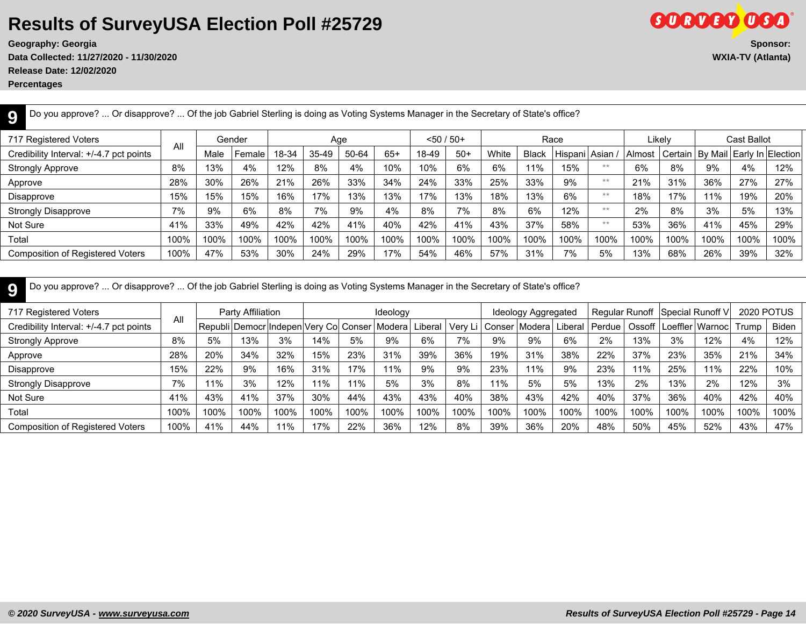**Data Collected: 11/27/2020 - 11/30/2020 WXIA-TV (Atlanta)**

**Release Date: 12/02/2020**

**Percentages**

| . Or disapprove?  Of the job Gabriel Sterling is doing as Voting Systems Manager in the Secretary of State's office?<br>Do you approve? |      |      |        |       |       |       |       |       |               |       |              |               |      |          |        |                                         |             |      |
|-----------------------------------------------------------------------------------------------------------------------------------------|------|------|--------|-------|-------|-------|-------|-------|---------------|-------|--------------|---------------|------|----------|--------|-----------------------------------------|-------------|------|
| 717 Registered Voters                                                                                                                   |      |      | Gender |       |       | Age   |       |       | $< 50 / 50 +$ |       |              | Race          |      |          | Likelv |                                         | Cast Ballot |      |
| Credibility Interval: +/-4.7 pct points                                                                                                 | All  | Male | Female | 18-34 | 35-49 | 50-64 | $65+$ | 18-49 | $50+$         | White | <b>Black</b> | Hispani Asian |      | l Almost |        | Certain   By Mail   Early In   Election |             |      |
| <b>Strongly Approve</b>                                                                                                                 | 8%   | 13%  | 4%     | 12%   | 8%    | 4%    | 10%   | 10%   | 6%            | 6%    | 11%          | 15%           | $**$ | 6%       | 8%     | 9%                                      | 4%          | 12%  |
| Approve                                                                                                                                 | 28%  | 30%  | 26%    | 21%   | 26%   | 33%   | 34%   | 24%   | 33%           | 25%   | 33%          | 9%            | $**$ | 21%      | 31%    | 36%                                     | 27%         | 27%  |
| Disapprove                                                                                                                              | 15%  | 15%  | 15%    | 16%   | 17%   | 13%   | 13%   | 17%   | 13%           | 18%   | 13%          | 6%            | $**$ | 18%      | 17%    | 11%                                     | 19%         | 20%  |
| <b>Strongly Disapprove</b>                                                                                                              | 7%   | 9%   | 6%     | 8%    | 7%    | 9%    | 4%    | 8%    | 7%            | 8%    | 6%           | 12%           | $**$ | 2%       | 8%     | 3%                                      | 5%          | 13%  |
| Not Sure                                                                                                                                | 41%  | 33%  | 49%    | 42%   | 42%   | 41%   | 40%   | 42%   | 41%           | 43%   | 37%          | 58%           | $**$ | 53%      | 36%    | 41%                                     | 45%         | 29%  |
| Total                                                                                                                                   | 100% | 100% | 100%   | 100%  | 100%  | 100%  | 100%  | 100%  | 100%          | 100%  | 100%         | 100%          | 100% | 100%     | 100%   | 100%                                    | 100%        | 100% |
| <b>Composition of Registered Voters</b>                                                                                                 | 100% | 47%  | 53%    | 30%   | 24%   | 29%   | 17%   | 54%   | 46%           | 57%   | 31%          | 7%            | 5%   | 13%      | 68%    | 26%                                     | 39%         | 32%  |
|                                                                                                                                         |      |      |        |       |       |       |       |       |               |       |              |               |      |          |        |                                         |             |      |

| 717 Registered Voters                   |      |      | Party Affiliation                                   |      |      |      | Ideology |         |         |      | Ideology Aggregated |         |        |      | Regular Runoff Special Runoff V |      | 2020 POTUS |              |
|-----------------------------------------|------|------|-----------------------------------------------------|------|------|------|----------|---------|---------|------|---------------------|---------|--------|------|---------------------------------|------|------------|--------------|
| Credibility Interval: +/-4.7 pct points | All  |      | Republi   Democr  Indepen  Very Co  Conser   Modera |      |      |      |          | Liberal | Verv Li |      | l Conser   Modera   | Liberal | Perdue |      | Ossoff   Loeffler   Warnoc      |      | Trump      | <b>Biden</b> |
| <b>Strongly Approve</b>                 | 8%   | 5%   | 13%                                                 | 3%   | 14%  | 5%   | 9%       | 6%      | 7%      | 9%   | 9%                  | 6%      | 2%     | 13%  | 3%                              | 12%  | 4%         | 12%          |
| Approve                                 | 28%  | 20%  | 34%                                                 | 32%  | 15%  | 23%  | 31%      | 39%     | 36%     | 19%  | 31%                 | 38%     | 22%    | 37%  | 23%                             | 35%  | 21%        | 34%          |
| Disapprove                              | 15%  | 22%  | 9%                                                  | 16%  | 31%  | 17%  | 11%      | 9%      | 9%      | 23%  | 11%                 | 9%      | 23%    | 11%  | 25%                             | 11%  | 22%        | 10%          |
| <b>Strongly Disapprove</b>              | 7%   | 11%  | 3%                                                  | 12%  | 11%  | 11%  | 5%       | 3%      | 8%      | 11%  | 5%                  | 5%      | 13%    | 2%   | 13%                             | 2%   | 12%        | 3%           |
| Not Sure                                | 41%  | 43%  | 41%                                                 | 37%  | 30%  | 44%  | 43%      | 43%     | 40%     | 38%  | 43%                 | 42%     | 40%    | 37%  | 36%                             | 40%  | 42%        | 40%          |
| Total                                   | 100% | 100% | 100%                                                | 100% | 100% | 100% | 100%     | 100%    | 100%    | 100% | 100%                | 100%    | 100%   | 100% | 100%                            | 100% | 100%       | 100%         |
| <b>Composition of Registered Voters</b> | 100% | 41%  | 44%                                                 | 11%  | 17%  | 22%  | 36%      | 12%     | 8%      | 39%  | 36%                 | 20%     | 48%    | 50%  | 45%                             | 52%  | 43%        | 47%          |

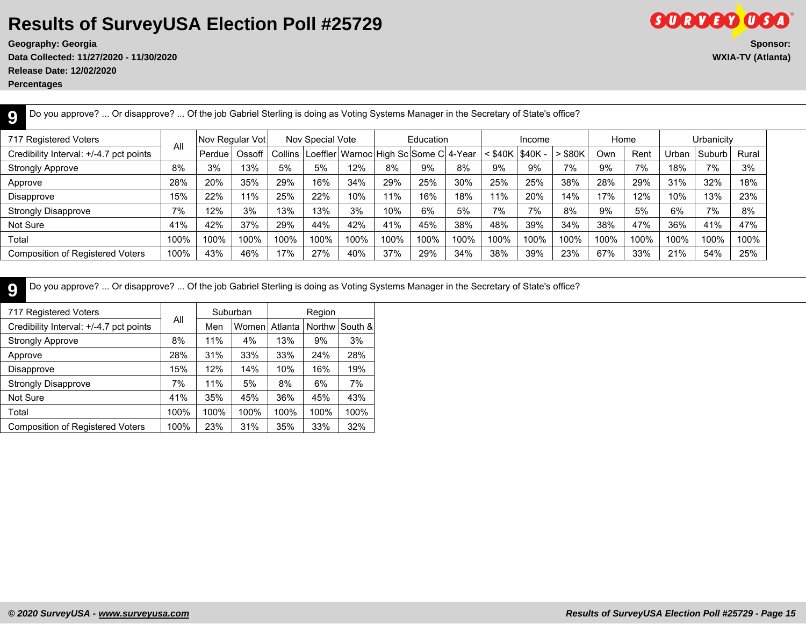**Data Collected: 11/27/2020 - 11/30/2020 WXIA-TV (Atlanta) Release Date: 12/02/2020**

**Percentages**

**9**

| 717 Registered Voters                   |      | Nov Regular Vot |        |         | Nov Special Vote |      |      | Education                                     |      |      | Income            |         | Home |      |       | Urbanicity |       |
|-----------------------------------------|------|-----------------|--------|---------|------------------|------|------|-----------------------------------------------|------|------|-------------------|---------|------|------|-------|------------|-------|
| Credibility Interval: +/-4.7 pct points | All  | Perdue          | Ossoff | Collins |                  |      |      | Loeffler   Warnoc   High Sc   Some C   4-Year |      |      | : \$40K   \$40K - | ∙ \$80K | Own  | Rent | Jrban | Suburb     | Rural |
| <b>Strongly Approve</b>                 | 8%   | 3%              | 13%    | 5%      | 5%               | 12%  | 8%   | 9%                                            | 8%   | 9%   | 9%                | 7%      | 9%   | 7%   | 18%   | 7%         | 3%    |
| Approve                                 | 28%  | 20%             | 35%    | 29%     | 16%              | 34%  | 29%  | 25%                                           | 30%  | 25%  | 25%               | 38%     | 28%  | 29%  | 31%   | 32%        | 18%   |
| Disapprove                              | 15%  | 22%             | 1%     | 25%     | 22%              | 10%  | 11%  | 16%                                           | 18%  | 11%  | 20%               | 14%     | 17%  | 12%  | 10%   | 13%        | 23%   |
| <b>Strongly Disapprove</b>              | 7%   | 12%             | 3%     | 13%     | 13%              | 3%   | 10%  | 6%                                            | 5%   | 7%   | 7%                | 8%      | 9%   | 5%   | 6%    | 7%         | 8%    |
| Not Sure                                | 41%  | 42%             | 37%    | 29%     | 44%              | 42%  | 41%  | 45%                                           | 38%  | 48%  | 39%               | 34%     | 38%  | 47%  | 36%   | 41%        | 47%   |
| Total                                   | 100% | 100%            | 100%   | 100%    | 100%             | 100% | 100% | 100%                                          | 100% | 100% | 100%              | 100%    | 100% | 100% | 100%  | 100%       | 100%  |
| <b>Composition of Registered Voters</b> | 100% | 43%             | 46%    | 17%     | 27%              | 40%  | 37%  | 29%                                           | 34%  | 38%  | 39%               | 23%     | 67%  | 33%  | 21%   | 54%        | 25%   |

Do you approve? ... Or disapprove? ... Of the job Gabriel Sterling is doing as Voting Systems Manager in the Secretary of State's office?

**9** Do you approve? ... Or disapprove? ... Of the job Gabriel Sterling is doing as Voting Systems Manager in the Secretary of State's office?

| 717 Registered Voters                   |      |      | Suburban |         | Region |         |
|-----------------------------------------|------|------|----------|---------|--------|---------|
| Credibility Interval: +/-4.7 pct points | All  | Men  | Women    | Atlanta | Northw | South & |
| <b>Strongly Approve</b>                 | 8%   | 11%  | 4%       | 13%     | 9%     | 3%      |
| Approve                                 | 28%  | 31%  | 33%      | 33%     | 24%    | 28%     |
| Disapprove                              | 15%  | 12%  | 14%      | 10%     | 16%    | 19%     |
| <b>Strongly Disapprove</b>              | 7%   | 11%  | 5%       | 8%      | 6%     | 7%      |
| Not Sure                                | 41%  | 35%  | 45%      | 36%     | 45%    | 43%     |
| Total                                   | 100% | 100% | 100%     | 100%    | 100%   | 100%    |
| <b>Composition of Registered Voters</b> | 100% | 23%  | 31%      | 35%     | 33%    | 32%     |

**Geography: Georgia Sponsor:**

**GORDED OSA**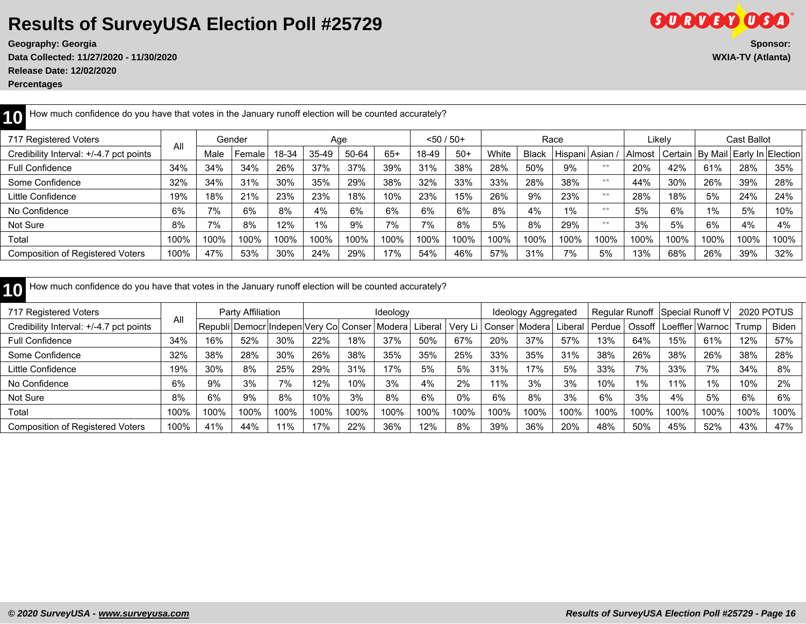**Release Date: 12/02/2020**

**Percentages**

| How much confidence do you have that votes in the January runoff election will be counted accurately? |      |      |        |       |       |       |       |               |       |       |              |               |       |        |         |         |             |                   |
|-------------------------------------------------------------------------------------------------------|------|------|--------|-------|-------|-------|-------|---------------|-------|-------|--------------|---------------|-------|--------|---------|---------|-------------|-------------------|
| 717 Registered Voters                                                                                 |      |      | Gender |       | Age   |       |       | $< 50 / 50 +$ |       |       |              | Race          |       |        | Likelv  |         | Cast Ballot |                   |
| Credibility Interval: +/-4.7 pct points                                                               | All  | Male | Female | 18-34 | 35-49 | 50-64 | $65+$ | 18-49         | $50+$ | White | <b>Black</b> | Hispani Asian |       | Almost | Certain | By Mail |             | Early In Election |
| <b>Full Confidence</b>                                                                                | 34%  | 34%  | 34%    | 26%   | 37%   | 37%   | 39%   | 31%           | 38%   | 28%   | 50%          | 9%            | **    | 20%    | 42%     | 61%     | 28%         | 35%               |
| Some Confidence                                                                                       | 32%  | 34%  | 31%    | 30%   | 35%   | 29%   | 38%   | 32%           | 33%   | 33%   | 28%          | 38%           | **    | 44%    | 30%     | 26%     | 39%         | 28%               |
| Little Confidence                                                                                     | 19%  | 18%  | 21%    | 23%   | 23%   | 18%   | 10%   | 23%           | 15%   | 26%   | 9%           | 23%           | $***$ | 28%    | 18%     | 5%      | 24%         | 24%               |
| No Confidence                                                                                         | 6%   | 7%   | 6%     | 8%    | 4%    | 6%    | 6%    | 6%            | 6%    | 8%    | 4%           | $1\%$         | **    | 5%     | 6%      | $1\%$   | 5%          | 10%               |
| Not Sure                                                                                              | 8%   | 7%   | 8%     | 12%   | 1%    | 9%    | 7%    | 7%            | 8%    | 5%    | 8%           | 29%           | $**$  | 3%     | 5%      | 6%      | 4%          | 4%                |
| Total                                                                                                 | 100% | 100% | 100%   | 100%  | 100%  | 100%  | 100%  | 100%          | 100%  | 100%  | 100%         | 100%          | 100%  | 100%   | 100%    | 100%    | 100%        | 100%              |
| <b>Composition of Registered Voters</b>                                                               | 100% | 47%  | 53%    | 30%   | 24%   | 29%   | 17%   | 54%           | 46%   | 57%   | 31%          | 7%            | 5%    | 13%    | 68%     | 26%     | 39%         | 32%               |

| How much confidence do you have that votes in the January runoff election will be counted accurately? |      |      |                   |      |      |      |                                  |         |      |      |                                              |      |      |       |      |                                   |                   |       |
|-------------------------------------------------------------------------------------------------------|------|------|-------------------|------|------|------|----------------------------------|---------|------|------|----------------------------------------------|------|------|-------|------|-----------------------------------|-------------------|-------|
| 717 Registered Voters                                                                                 |      |      | Party Affiliation |      |      |      | Ideology                         |         |      |      | Ideology Aggregated                          |      |      |       |      | Regular Runoff   Special Runoff V | <b>2020 POTUS</b> |       |
| Credibility Interval: +/-4.7 pct points                                                               | All  |      | Republi   Democr  |      |      |      | Indepen Very Co  Conser   Modera | Liberal |      |      | Very Li   Conser   Modera   Liberal   Perdue |      |      |       |      | Ossoff   Loeffler   Warnoc        | Trump             | Biden |
| <b>Full Confidence</b>                                                                                | 34%  | 16%  | 52%               | 30%  | 22%  | 18%  | 37%                              | 50%     | 67%  | 20%  | 37%                                          | 57%  | 13%  | 64%   | 15%  | 61%                               | 12%               | 57%   |
| Some Confidence                                                                                       | 32%  | 38%  | 28%               | 30%  | 26%  | 38%  | 35%                              | 35%     | 25%  | 33%  | 35%                                          | 31%  | 38%  | 26%   | 38%  | 26%                               | 38%               | 28%   |
| Little Confidence                                                                                     | 19%  | 30%  | 8%                | 25%  | 29%  | 31%  | 17%                              | 5%      | 5%   | 31%  | 17%                                          | 5%   | 33%  | 7%    | 33%  | 7%                                | 34%               | 8%    |
| No Confidence                                                                                         | 6%   | 9%   | 3%                | 7%   | 12%  | 10%  | 3%                               | 4%      | 2%   | 11%  | 3%                                           | 3%   | 10%  | $1\%$ | 1%   | $1\%$                             | 10%               | 2%    |
| Not Sure                                                                                              | 8%   | 6%   | 9%                | 8%   | 10%  | 3%   | 8%                               | 6%      | 0%   | 6%   | 8%                                           | 3%   | 6%   | 3%    | 4%   | 5%                                | 6%                | 6%    |
| Total                                                                                                 | 100% | 100% | 100%              | 100% | 100% | 100% | 100%                             | 100%    | 100% | 100% | 100%                                         | 100% | 100% | 100%  | 100% | 100%                              | 100%              | 100%  |
| <b>Composition of Registered Voters</b>                                                               | 100% | 41%  | 44%               | 11%  | 17%  | 22%  | 36%                              | 12%     | 8%   | 39%  | 36%                                          | 20%  | 48%  | 50%   | 45%  | 52%                               | 43%               | 47%   |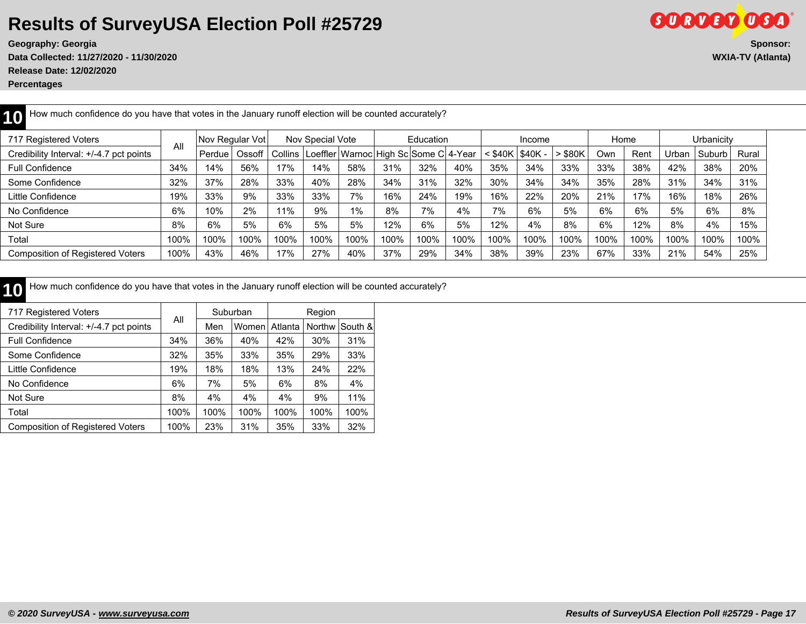**Data Collected: 11/27/2020 - 11/30/2020 WXIA-TV (Atlanta) Release Date: 12/02/2020**

**Percentages**

| How much confidence do you have that votes in the January runoff election will be counted accurately? |      |                 |        |         |                  |                                               |      |           |      |           |         |           |      |      |       |            |       |
|-------------------------------------------------------------------------------------------------------|------|-----------------|--------|---------|------------------|-----------------------------------------------|------|-----------|------|-----------|---------|-----------|------|------|-------|------------|-------|
| 717 Registered Voters                                                                                 |      | Nov Regular Vot |        |         | Nov Special Vote |                                               |      | Education |      |           | Income  |           | Home |      |       | Urbanicity |       |
| Credibility Interval: +/-4.7 pct points                                                               | All  | Perdue          | Ossoff | Collins |                  | Loeffler   Warnoc   High Sc   Some C   4-Year |      |           |      | $<$ \$40K | \$40K - | $>$ \$80K | Own  | Rent | Urban | Suburb     | Rural |
| <b>Full Confidence</b>                                                                                | 34%  | 14%             | 56%    | 17%     | 14%              | 58%                                           | 31%  | 32%       | 40%  | 35%       | 34%     | 33%       | 33%  | 38%  | 42%   | 38%        | 20%   |
| Some Confidence                                                                                       | 32%  | 37%             | 28%    | 33%     | 40%              | 28%                                           | 34%  | 31%       | 32%  | 30%       | 34%     | 34%       | 35%  | 28%  | 31%   | 34%        | 31%   |
| Little Confidence                                                                                     | 19%  | 33%             | 9%     | 33%     | 33%              | 7%                                            | 16%  | 24%       | 19%  | 16%       | 22%     | 20%       | 21%  | 17%  | 16%   | 18%        | 26%   |
| No Confidence                                                                                         | 6%   | 10%             | 2%     | 11%     | 9%               | 1%                                            | 8%   | 7%        | 4%   | 7%        | 6%      | 5%        | 6%   | 6%   | 5%    | 6%         | 8%    |
| Not Sure                                                                                              | 8%   | 6%              | 5%     | 6%      | 5%               | 5%                                            | 12%  | 6%        | 5%   | 12%       | 4%      | 8%        | 6%   | 12%  | 8%    | 4%         | 15%   |
| Total                                                                                                 | 100% | 100%            | 100%   | 100%    | 100%             | 100%                                          | 100% | 100%      | 100% | 100%      | 100%    | 100%      | 100% | 100% | 100%  | 100%       | 100%  |
| Composition of Registered Voters                                                                      | 100% | 43%             | 46%    | 17%     | 27%              | 40%                                           | 37%  | 29%       | 34%  | 38%       | 39%     | 23%       | 67%  | 33%  | 21%   | 54%        | 25%   |

10 How much confidence do you have that votes in the January runoff election will be counted accurately?

| 717 Registered Voters                   |      |      | Suburban |         | Region |         |
|-----------------------------------------|------|------|----------|---------|--------|---------|
| Credibility Interval: +/-4.7 pct points | All  | Men  | Women    | Atlanta | Northw | South & |
| <b>Full Confidence</b>                  | 34%  | 36%  | 40%      | 42%     | 30%    | 31%     |
| Some Confidence                         | 32%  | 35%  | 33%      | 35%     | 29%    | 33%     |
| Little Confidence                       | 19%  | 18%  | 18%      | 13%     | 24%    | 22%     |
| No Confidence                           | 6%   | 7%   | 5%       | 6%      | 8%     | 4%      |
| Not Sure                                | 8%   | 4%   | 4%       | 4%      | 9%     | 11%     |
| Total                                   | 100% | 100% | 100%     | 100%    | 100%   | 100%    |
| <b>Composition of Registered Voters</b> | 100% | 23%  | 31%      | 35%     | 33%    | 32%     |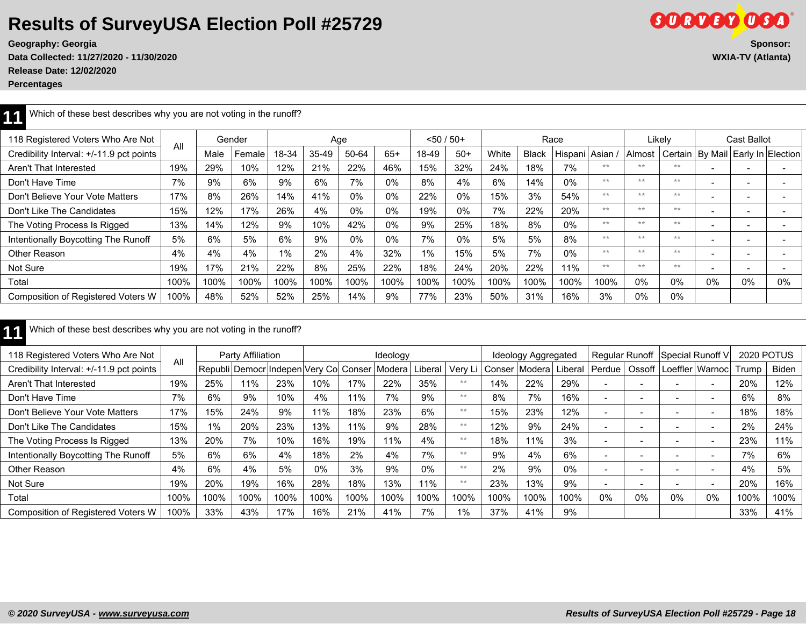**Data Collected: 11/27/2020 - 11/30/2020 WXIA-TV (Atlanta) Release Date: 12/02/2020**

**Percentages**

| 118 Registered Voters Who Are Not        | All  |      | Gender |       |       | Age   |       |       | $< 50 / 50+$ |       |              | Race            |      |        | Likely |                          | Cast Ballot       |    |
|------------------------------------------|------|------|--------|-------|-------|-------|-------|-------|--------------|-------|--------------|-----------------|------|--------|--------|--------------------------|-------------------|----|
| Credibility Interval: +/-11.9 pct points |      | Male | Female | 18-34 | 35-49 | 50-64 | $65+$ | 18-49 | $50+$        | White | <b>Black</b> | Hispani Asian / |      | Almost |        | Certain   By Mail        | Early In Election |    |
| Aren't That Interested                   | 19%  | 29%  | 10%    | 12%   | 21%   | 22%   | 46%   | 15%   | 32%          | 24%   | 18%          | 7%              | $**$ | **     | **     | $\overline{\phantom{0}}$ |                   |    |
| Don't Have Time                          | 7%   | 9%   | 6%     | 9%    | 6%    | 7%    | 0%    | 8%    | 4%           | 6%    | 14%          | $0\%$           | $**$ | **     | **     | $\overline{\phantom{a}}$ |                   |    |
| Don't Believe Your Vote Matters          | 17%  | 8%   | 26%    | 14%   | 41%   | $0\%$ | 0%    | 22%   | $0\%$        | 15%   | 3%           | 54%             | $**$ | **     | **     | $\overline{\phantom{0}}$ |                   |    |
| Don't Like The Candidates                | 15%  | 12%  | 17%    | 26%   | 4%    | $0\%$ | 0%    | 19%   | $0\%$        | 7%    | 22%          | 20%             | $**$ | **     | **     | $\overline{\phantom{0}}$ |                   |    |
| The Voting Process Is Rigged             | 13%  | 14%  | 12%    | 9%    | 10%   | 42%   | 0%    | 9%    | 25%          | 18%   | 8%           | $0\%$           | $**$ | **     | **     | $\overline{\phantom{0}}$ |                   |    |
| Intentionally Boycotting The Runoff      | 5%   | 6%   | 5%     | 6%    | 9%    | 0%    | 0%    | 7%    | $0\%$        | 5%    | 5%           | 8%              | $**$ | **     | **     | $\overline{\phantom{0}}$ |                   |    |
| Other Reason                             | 4%   | 4%   | 4%     | 1%    | 2%    | 4%    | 32%   | $1\%$ | 15%          | 5%    | 7%           | 0%              | $**$ | **     | **     | $\overline{\phantom{a}}$ |                   |    |
| Not Sure                                 | 19%  | 17%  | 21%    | 22%   | 8%    | 25%   | 22%   | 18%   | 24%          | 20%   | 22%          | 11%             | $**$ | **     | **     | $\overline{\phantom{0}}$ |                   |    |
| Total                                    | 100% | 100% | 100%   | 100%  | 100%  | 100%  | 100%  | 100%  | 100%         | 100%  | 100%         | 100%            | 100% | $0\%$  | 0%     | 0%                       | 0%                | 0% |
| Composition of Registered Voters W       | 100% | 48%  | 52%    | 52%   | 25%   | 14%   | 9%    | 77%   | 23%          | 50%   | 31%          | 16%             | 3%   | $0\%$  | $0\%$  |                          |                   |    |

|  | Which of these best describes why you are not voting in the runoff? |
|--|---------------------------------------------------------------------|
|--|---------------------------------------------------------------------|

| 118 Registered Voters Who Are Not         |      |                | Party Affiliation |                         |       |       | Ideology |         |         |        | Ideology Aggregated |         |          |                          | Regular Runoff Special Runoff V |                          | 2020 POTUS |       |
|-------------------------------------------|------|----------------|-------------------|-------------------------|-------|-------|----------|---------|---------|--------|---------------------|---------|----------|--------------------------|---------------------------------|--------------------------|------------|-------|
| Credibility Interval: +/-11.9 pct points  | All  | Republi Democr |                   | Indepen Very Col Conser |       |       | l Modera | Liberal | Very Li | Conser | Modera l            | Liberal | l Perdue | Ossoff                   |                                 | Loeffler   Warnoc        | Trump      | Biden |
| Aren't That Interested                    | 19%  | 25%            | $1\%$             | 23%                     | 10%   | 17%   | 22%      | 35%     | **      | 14%    | 22%                 | 29%     |          |                          |                                 | $\overline{\phantom{0}}$ | 20%        | 12%   |
| Don't Have Time                           | 7%   | 6%             | 9%                | 10%                     | 4%    | $1\%$ | 7%       | 9%      | **      | 8%     | 7%                  | 16%     |          |                          |                                 | $\overline{\phantom{0}}$ | 6%         | 8%    |
| Don't Believe Your Vote Matters           | 17%  | 15%            | 24%               | 9%                      | 11%   | 18%   | 23%      | 6%      | **      | 15%    | 23%                 | 12%     |          | $\overline{\phantom{0}}$ |                                 |                          | 18%        | 18%   |
| Don't Like The Candidates                 | 15%  | 1%             | 20%               | 23%                     | 13%   | 11%   | 9%       | 28%     | **      | 12%    | 9%                  | 24%     |          | $\overline{\phantom{0}}$ |                                 |                          | 2%         | 24%   |
| The Voting Process Is Rigged              | 13%  | 20%            | 7%                | 10%                     | 16%   | 19%   | 11%      | 4%      | **      | 18%    | 11%                 | 3%      |          | $\overline{\phantom{0}}$ |                                 |                          | 23%        | 11%   |
| Intentionally Boycotting The Runoff       | 5%   | 6%             | 6%                | 4%                      | 18%   | 2%    | 4%       | 7%      | **      | 9%     | 4%                  | 6%      |          | $\overline{\phantom{a}}$ |                                 |                          | 7%         | 6%    |
| Other Reason                              | 4%   | 6%             | 4%                | 5%                      | $0\%$ | 3%    | 9%       | 0%      | **      | 2%     | 9%                  | 0%      |          |                          |                                 |                          | 4%         | 5%    |
| Not Sure                                  | 19%  | 20%            | 19%               | 16%                     | 28%   | 18%   | 13%      | 11%     | **      | 23%    | 13%                 | 9%      |          |                          |                                 |                          | 20%        | 16%   |
| Total                                     | 100% | 100%           | 100%              | 100%                    | 100%  | 100%  | 100%     | 100%    | 100%    | 100%   | 100%                | 100%    | 0%       | 0%                       | 0%                              | 0%                       | 100%       | 100%  |
| <b>Composition of Registered Voters W</b> | 100% | 33%            | 43%               | 17%                     | 16%   | 21%   | 41%      | 7%      | $1\%$   | 37%    | 41%                 | 9%      |          |                          |                                 |                          | 33%        | 41%   |

**SORDBO OSO**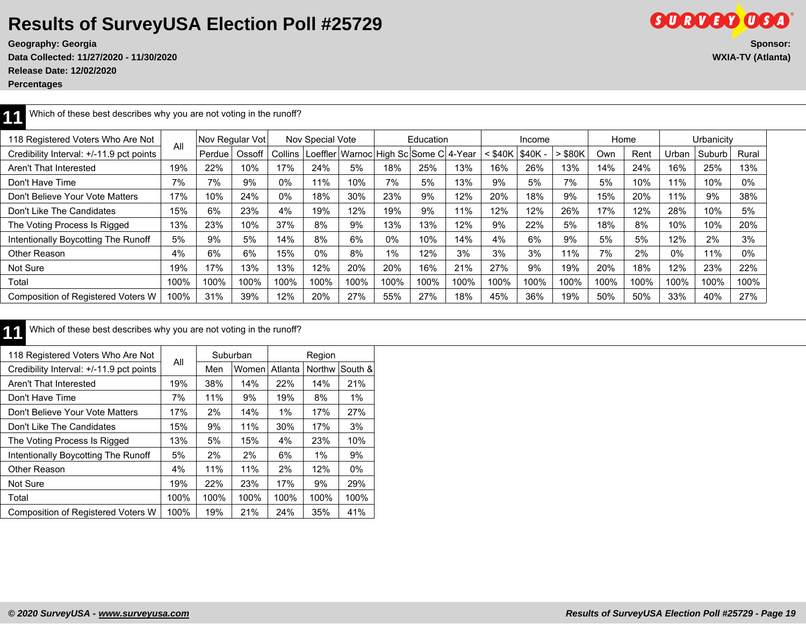**Geography: Georgia** 

**Data Collected: 11/27/2020 - 11/30/2020 WXIA-TV (Atlanta) Release Date: 12/02/2020**

**Percentages**

| ®                                                                    |  |
|----------------------------------------------------------------------|--|
| Sponsor:                                                             |  |
| $\mathbf{r}$ and $\mathbf{r}$ and $\mathbf{r}$ and $\mathbf{r}$<br>. |  |

| 44 Which of these best describes why you are not voting in the runoff? |  |
|------------------------------------------------------------------------|--|
|------------------------------------------------------------------------|--|

| 118 Registered Voters Who Are Not        |      | Nov Regular Vot |        |         | Nov Special Vote |                                       |       | Education |      |           | Income  |           | Home |      |       | Urbanicity |       |
|------------------------------------------|------|-----------------|--------|---------|------------------|---------------------------------------|-------|-----------|------|-----------|---------|-----------|------|------|-------|------------|-------|
| Credibility Interval: +/-11.9 pct points | All  | Perdue          | Ossoff | Collins |                  | Loeffler Warnoc High Sc Some C 4-Year |       |           |      | $<$ \$40K | \$40K - | $>$ \$80K | Own  | Rent | Urban | Suburb     | Rural |
| Aren't That Interested                   | 19%  | 22%             | 10%    | 17%     | 24%              | 5%                                    | 18%   | 25%       | 13%  | 16%       | 26%     | 13%       | 14%  | 24%  | 16%   | 25%        | 13%   |
| Don't Have Time                          | 7%   | 7%              | 9%     | 0%      | 11%              | 10%                                   | 7%    | 5%        | 13%  | 9%        | 5%      | 7%        | 5%   | 10%  | 11%   | 10%        | $0\%$ |
| Don't Believe Your Vote Matters          | 17%  | 10%             | 24%    | 0%      | 18%              | 30%                                   | 23%   | 9%        | 12%  | 20%       | 18%     | 9%        | 15%  | 20%  | 11%   | 9%         | 38%   |
| Don't Like The Candidates                | 15%  | 6%              | 23%    | 4%      | 19%              | 12%                                   | 19%   | 9%        | 11%  | 12%       | 12%     | 26%       | 17%  | 12%  | 28%   | 10%        | 5%    |
| The Voting Process Is Rigged             | 13%  | 23%             | 10%    | 37%     | 8%               | 9%                                    | 13%   | 13%       | 12%  | 9%        | 22%     | 5%        | 18%  | 8%   | 10%   | 10%        | 20%   |
| Intentionally Boycotting The Runoff      | 5%   | 9%              | 5%     | 14%     | 8%               | 6%                                    | $0\%$ | 10%       | 14%  | 4%        | 6%      | 9%        | 5%   | 5%   | 12%   | 2%         | 3%    |
| Other Reason                             | 4%   | 6%              | 6%     | 15%     | 0%               | 8%                                    | $1\%$ | 12%       | 3%   | 3%        | 3%      | 11%       | 7%   | 2%   | $0\%$ | 11%        | $0\%$ |
| Not Sure                                 | 19%  | 17%             | 13%    | 13%     | 12%              | 20%                                   | 20%   | 16%       | 21%  | 27%       | 9%      | 19%       | 20%  | 18%  | 12%   | 23%        | 22%   |
| Total                                    | 100% | 100%            | 100%   | 100%    | 100%             | 100%                                  | 100%  | 100%      | 100% | 100%      | 100%    | 100%      | 100% | 100% | 100%  | 100%       | 100%  |
| Composition of Registered Voters W       | 100% | 31%             | 39%    | 12%     | 20%              | 27%                                   | 55%   | 27%       | 18%  | 45%       | 36%     | 19%       | 50%  | 50%  | 33%   | 40%        | 27%   |

#### **11** Which of these best describes why you are not voting in the runoff?

| 118 Registered Voters Who Are Not        |      |      | Suburban |         | Region        |         |
|------------------------------------------|------|------|----------|---------|---------------|---------|
| Credibility Interval: +/-11.9 pct points | All  | Men  | Women    | Atlanta | <b>Northw</b> | South & |
| Aren't That Interested                   | 19%  | 38%  | 14%      | 22%     | 14%           | 21%     |
| Don't Have Time                          | 7%   | 11%  | 9%       | 19%     | 8%            | $1\%$   |
| Don't Believe Your Vote Matters          | 17%  | 2%   | 14%      | $1\%$   | 17%           | 27%     |
| Don't Like The Candidates                | 15%  | 9%   | 11%      | 30%     | 17%           | 3%      |
| The Voting Process Is Rigged             | 13%  | 5%   | 15%      | 4%      | 23%           | 10%     |
| Intentionally Boycotting The Runoff      | 5%   | 2%   | 2%       | 6%      | $1\%$         | 9%      |
| Other Reason                             | 4%   | 11%  | 11%      | 2%      | 12%           | 0%      |
| Not Sure                                 | 19%  | 22%  | 23%      | 17%     | 9%            | 29%     |
| Total                                    | 100% | 100% | 100%     | 100%    | 100%          | 100%    |
| Composition of Registered Voters W       | 100% | 19%  | 21%      | 24%     | 35%           | 41%     |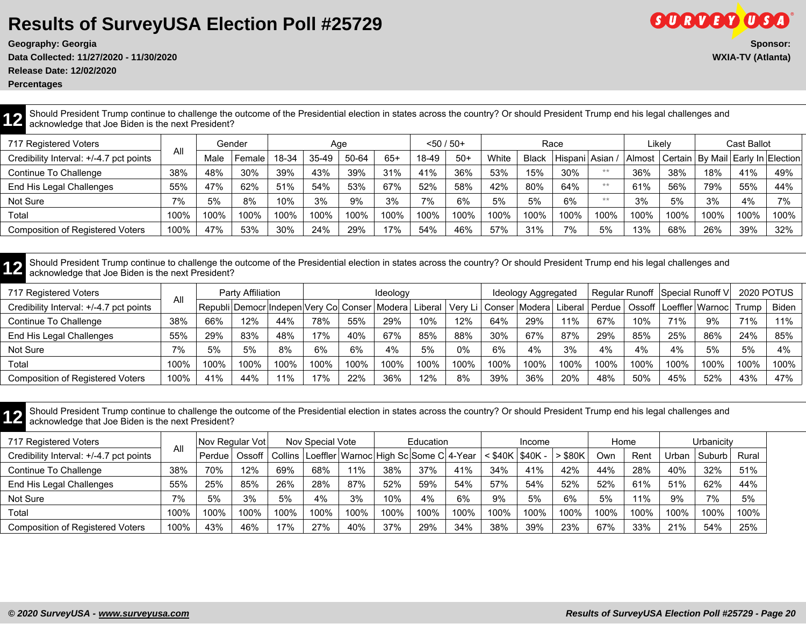**Geography: Georgia Sponsor:**

**Data Collected: 11/27/2020 - 11/30/2020 WXIA-TV (Atlanta)**

**Release Date: 12/02/2020**

**Percentages**

**GORDED OSA** 

**12** Should President Trump continue to challenge the outcome of the Presidential election in states across the country? Or should President Trump end his legal challenges and acknowledge that Joe Biden is the next Preside acknowledge that Joe Biden is the next President?

| 717 Registered Voters                   |      |      | Gender |       | Age   |       |       | $< 50 / 50+$ |       |       |              | Race          |      |      | Likelv |      | Cast Ballot |                                                  |
|-----------------------------------------|------|------|--------|-------|-------|-------|-------|--------------|-------|-------|--------------|---------------|------|------|--------|------|-------------|--------------------------------------------------|
| Credibility Interval: +/-4.7 pct points | All  | Male | Female | 18-34 | 35-49 | 50-64 | $65+$ | 18-49        | $50+$ | White | <b>Black</b> | Hispani Asian |      |      |        |      |             | Almost   Certain   By Mail   Early In   Election |
| Continue To Challenge                   | 38%  | 48%  | 30%    | 39%   | 43%   | 39%   | 31%   | 41%          | 36%   | 53%   | 15%          | 30%           | $**$ | 36%  | 38%    | 18%  | 41%         | 49%                                              |
| End His Legal Challenges                | 55%  | 47%  | 62%    | 51%   | 54%   | 53%   | 67%   | 52%          | 58%   | 42%   | 80%          | 64%           | $**$ | 61%  | 56%    | 79%  | 55%         | 44%                                              |
| Not Sure                                | 7%   | 5%   | 8%     | 10%   | 3%    | 9%    | 3%    | 7%           | 6%    | 5%    | 5%           | 6%            | $**$ | 3%   | 5%     | 3%   | 4%          | 7%                                               |
| Total                                   | 100% | 100% | 100%   | 100%  | 100%  | 100%  | 100%  | 100%         | 100%  | 100%  | 100%         | 100%          | 100% | 100% | 100%   | 100% | 100%        | 100%                                             |
| <b>Composition of Registered Voters</b> | 100% | 47%  | 53%    | 30%   | 24%   | 29%   | 17%   | 54%          | 46%   | 57%   | 31%          | 7%            | 5%   | 13%  | 68%    | 26%  | 39%         | 32%                                              |

**12** Should President Trump continue to challenge the outcome of the Presidential election in states across the country? Or should President Trump end his legal challenges and acknowledge that Joe Biden is the next Preside acknowledge that Joe Biden is the next President?

| 717 Registered Voters                   |      |      | Party Affiliation |      |      |      | Ideology                                        |         |       |      | Ideology Aggregated                 |      |        |      |      | Regular Runoff   Special Runoff V | <b>2020 POTUS</b> |       |
|-----------------------------------------|------|------|-------------------|------|------|------|-------------------------------------------------|---------|-------|------|-------------------------------------|------|--------|------|------|-----------------------------------|-------------------|-------|
| Credibility Interval: +/-4.7 pct points | All  |      |                   |      |      |      | Republi Democr Indepen Very Co  Conser   Modera | Liberal |       |      | Very Li   Conser   Modera   Liberal |      | Perdue |      |      | Ossoff   Loeffler   Warnoc        | Trump             | Biden |
| Continue To Challenge                   | 38%  | 66%  | 12%               | 44%  | 78%  | 55%  | 29%                                             | 10%     | 12%   | 64%  | 29%                                 | 11%  | 67%    | 10%  | 71%  | 9%                                | 71%               | 11%   |
| End His Legal Challenges                | 55%  | 29%  | 83%               | 48%  | 17%  | 40%  | 67%                                             | 85%     | 88%   | 30%  | 67%                                 | 87%  | 29%    | 85%  | 25%  | 86%                               | 24%               | 85%   |
| Not Sure                                | 7%   | 5%   | 5%                | 8%   | 6%   | 6%   | 4%                                              | 5%      | $0\%$ | 6%   | 4%                                  | 3%   | 4%     | 4%   | 4%   | 5%                                | 5%                | 4%    |
| Total                                   | 100% | 100% | 100%              | 100% | 100% | 100% | 100%                                            | 100%    | 100%  | 100% | 100%                                | 100% | 100%   | 100% | 100% | 100%                              | 100%              | 100%  |
| <b>Composition of Registered Voters</b> | 100% | 41%  | 44%               | 11%  | 17%  | 22%  | 36%                                             | 12%     | 8%    | 39%  | 36%                                 | 20%  | 48%    | 50%  | 45%  | 52%                               | 43%               | 47%   |

**12** Should President Trump continue to challenge the outcome of the Presidential election in states across the country? Or should President Trump end his legal challenges and acknowledge that Joe Biden is the next Preside acknowledge that Joe Biden is the next President?

| 717 Registered Voters                   |      | Nov Regular Vot |        |      | Nov Special Vote |                                                         |      | Education |      |         | Income    |           | Home |      |       | Urbanicitv |       |
|-----------------------------------------|------|-----------------|--------|------|------------------|---------------------------------------------------------|------|-----------|------|---------|-----------|-----------|------|------|-------|------------|-------|
| Credibility Interval: +/-4.7 pct points |      | Perdue          | Ossoff |      |                  | Collins   Loeffler   Warnoc   High Sc   Some C   4-Year |      |           |      | < \$40K | ' \$40K - | $>$ \$80K | Own  | Rent | Urban | ' Suburb   | Rural |
| Continue To Challenge                   | 38%  | 70%             | 12%    | 69%  | 68%              | 11%                                                     | 38%  | 37%       | 41%  | 34%     | 41%       | 42%       | 44%  | 28%  | 40%   | 32%        | 51%   |
| End His Legal Challenges                | 55%  | 25%             | 85%    | 26%  | 28%              | 87%                                                     | 52%  | 59%       | 54%  | 57%     | 54%       | 52%       | 52%  | 61%  | 51%   | 62%        | 44%   |
| Not Sure                                | 7%   | 5%              | 3%     | 5%   | 4%               | 3%                                                      | 10%  | 4%        | 6%   | 9%      | 5%        | 6%        | 5%   | 11%  | 9%    | 7%         | 5%    |
| Total                                   | 100% | 100%            | 100%   | 100% | 100%             | 100%                                                    | 100% | 100%      | 100% | 100%    | 100%      | 100%      | 100% | 100% | 100%  | 100%       | 100%  |
| <b>Composition of Registered Voters</b> | 100% | 43%             | 46%    | 17%  | 27%              | 40%                                                     | 37%  | 29%       | 34%  | 38%     | 39%       | 23%       | 67%  | 33%  | 21%   | 54%        | 25%   |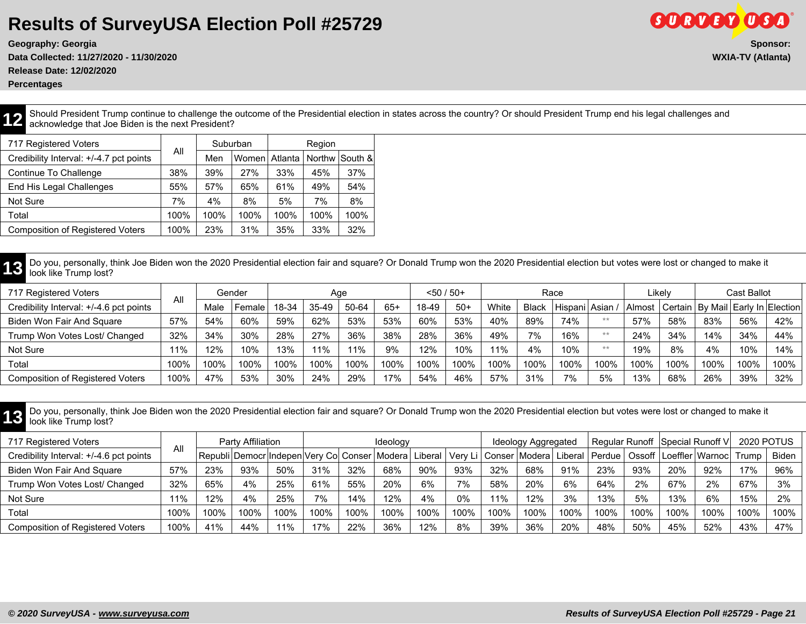**Data Collected: 11/27/2020 - 11/30/2020 WXIA-TV (Atlanta)**

**Release Date: 12/02/2020**

**Percentages**

**12** Should President Trump continue to challenge the outcome of the Presidential election in states across the country? Or should President Trump end his legal challenges and acknowledge that Joe Biden is the next Preside acknowledge that Joe Biden is the next President?

| 717 Registered Voters                   | All  |      | Suburban |         | Region |                |
|-----------------------------------------|------|------|----------|---------|--------|----------------|
| Credibility Interval: +/-4.7 pct points |      | Men  | Women    | Atlanta |        | Northw South & |
| Continue To Challenge                   | 38%  | 39%  | 27%      | 33%     | 45%    | 37%            |
| End His Legal Challenges                | 55%  | 57%  | 65%      | 61%     | 49%    | 54%            |
| Not Sure                                | 7%   | 4%   | 8%       | 5%      | 7%     | 8%             |
| Total                                   | 100% | 100% | 100%     | 100%    | 100%   | 100%           |
| <b>Composition of Registered Voters</b> | 100% | 23%  | 31%      | 35%     | 33%    | 32%            |

13 Do you, personally, think Joe Biden won the 2020 Presidential election fair and square? Or Donald Trump won the 2020 Presidential election but votes were lost or changed to make it<br>look like Trump lost?

| 717 Registered Voters                   |      |      | Gender |       | Aqe   |       |       | $< 50 / 50+$ |       |       |              | Race              |      |        | Likelv |      | Cast Ballot |                                         |
|-----------------------------------------|------|------|--------|-------|-------|-------|-------|--------------|-------|-------|--------------|-------------------|------|--------|--------|------|-------------|-----------------------------------------|
| Credibility Interval: +/-4.6 pct points | All  | Male | Female | 18-34 | 35-49 | 50-64 | $65+$ | 18-49        | $50+$ | White | <b>Black</b> | Hispani   Asian / |      | Almost |        |      |             | Certain   By Mail   Early In   Election |
| Biden Won Fair And Square               | 57%  | 54%  | 60%    | 59%   | 62%   | 53%   | 53%   | 60%          | 53%   | 40%   | 89%          | 74%               | $**$ | 57%    | 58%    | 83%  | 56%         | 42%                                     |
| Trump Won Votes Lost/ Changed           | 32%  | 34%  | $30\%$ | 28%   | 27%   | 36%   | 38%   | 28%          | 36%   | 49%   | 7%           | 16%               | $**$ | 24%    | 34%    | 14%  | 34%         | 44%                                     |
| Not Sure                                | 11%  | 12%  | 10%    | 13%   | 11%   | 11%   | 9%    | 12%          | 10%   | 11%   | 4%           | 10%               | $**$ | 19%    | 8%     | 4%   | 10%         | 14%                                     |
| Total                                   | 100% | 100% | 100%   | 100%  | 100%  | 100%  | 100%  | 100%         | 100%  | 100%  | 100%         | 100%              | 100% | 100%   | 100%   | 100% | 100%        | 100%                                    |
| <b>Composition of Registered Voters</b> | 100% | 47%  | 53%    | 30%   | 24%   | 29%   | 17%   | 54%          | 46%   | 57%   | 31%          | 7%                | 5%   | 13%    | 68%    | 26%  | 39%         | 32%                                     |

**13** Do you, personally, think Joe Biden won the 2020 Presidential election fair and square? Or Donald Trump won the 2020 Presidential election but votes were lost or changed to make it look like Trump lost? look like Trump lost?

| 717 Registered Voters                   |      |      | Party Affiliation |      |      |      | Ideology |      |      |      | Ideology Aggregated |      |      |      |      | Regular Runoff   Special Runoff V                                                                                               | <b>2020 POTUS</b> |       |
|-----------------------------------------|------|------|-------------------|------|------|------|----------|------|------|------|---------------------|------|------|------|------|---------------------------------------------------------------------------------------------------------------------------------|-------------------|-------|
| Credibility Interval: +/-4.6 pct points | All  |      |                   |      |      |      |          |      |      |      |                     |      |      |      |      | Republi Democr Indepen Very Co  Conser Modera  Liberal   Very Li   Conser Modera  Liberal   Perdue   Ossoff   Loeffler   Warnoc | Trump             | Biden |
| Biden Won Fair And Square               | 57%  | 23%  | 93%               | 50%  | 31%  | 32%  | 68%      | 90%  | 93%  | 32%  | 68%                 | 91%  | 23%  | 93%  | 20%  | 92%                                                                                                                             | 17%               | 96%   |
| Trump Won Votes Lost/ Changed           | 32%  | 65%  | 4%                | 25%  | 61%  | 55%  | 20%      | 6%   | 7%   | 58%  | 20%                 | 6%   | 64%  | 2%   | 67%  | 2%                                                                                                                              | 67%               | 3%    |
| Not Sure                                | 11%  | 12%  | 4%                | 25%  | 7%   | 14%  | 12%      | 4%   | 0%   | 11%  | 12%                 | 3%   | 13%  | 5%   | 13%  | 6%                                                                                                                              | 15%               | 2%    |
| Total                                   | 100% | 100% | 100%              | 100% | 100% | 100% | 100%     | 100% | 100% | 100% | 100%                | 100% | 100% | 100% | 100% | 100%                                                                                                                            | 100%              | 100%  |
| <b>Composition of Registered Voters</b> | 100% | 41%  | 44%               | 11%  | 17%  | 22%  | 36%      | 12%  | 8%   | 39%  | 36%                 | 20%  | 48%  | 50%  | 45%  | 52%                                                                                                                             | 43%               | 47%   |

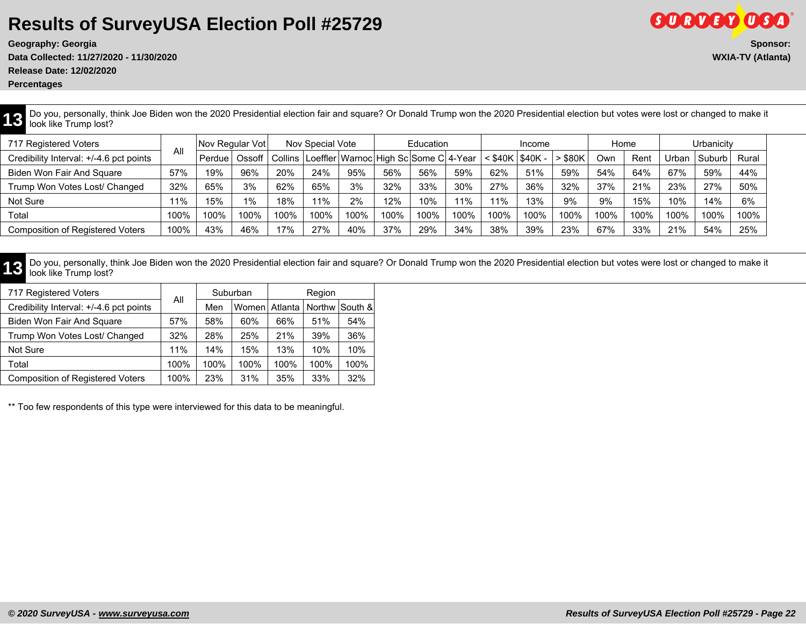**Release Date: 12/02/2020**

**Percentages**

**13** Do you, personally, think Joe Biden won the 2020 Presidential election fair and square? Or Donald Trump won the 2020 Presidential election but votes were lost or changed to make it look like Trump lost? look like Trump lost?

| 717 Registered Voters                   |      | Nov Regular Votl |        |           | Nov Special Vote |      |      | Education                             |        |           | Income        |       | Home |      |              | Urbanicitv |       |
|-----------------------------------------|------|------------------|--------|-----------|------------------|------|------|---------------------------------------|--------|-----------|---------------|-------|------|------|--------------|------------|-------|
| Credibility Interval: +/-4.6 pct points | All  | Perdue           | Ossoff | Collins I |                  |      |      | Loeffler Warnoc High Sc Some C 4-Year |        | $<$ \$40K | <b>S40K -</b> | \$80K | Own  | Rent | <u>Urban</u> | Suburb     | Rural |
| Biden Won Fair And Square               | 57%  | 19%              | 96%    | 20%       | 24%              | 95%  | 56%  | 56%                                   | 59%    | 62%       | 51%           | 59%   | 54%  | 64%  | 67%          | 59%        | 44%   |
| Trump Won Votes Lost/ Changed           | 32%  | 65%              | 3%     | 62%       | 65%              | 3%   | 32%  | 33%                                   | $30\%$ | 27%       | 36%           | 32%   | 37%  | 21%  | 23%          | 27%        | 50%   |
| Not Sure                                | 11%  | 15%              | 1%     | 18%       | 11%              | 2%   | 12%  | 10%                                   | 11%    | 11%       | 13%           | 9%    | 9%   | 15%  | 10%          | 14%        | 6%    |
| Total                                   | 100% | 100%             | 100%   | 100%      | 100%             | 100% | 100% | 100%                                  | 100%   | 100%      | 100%          | 100%  | 100% | 100% | 100%         | 100%       | 100%  |
| <b>Composition of Registered Voters</b> | 100% | 43%              | 46%    | 17%       | 27%              | 40%  | 37%  | 29%                                   | 34%    | 38%       | 39%           | 23%   | 67%  | 33%  | 21%          | 54%        | 25%   |

13 Do you, personally, think Joe Biden won the 2020 Presidential election fair and square? Or Donald Trump won the 2020 Presidential election but votes were lost or changed to make it<br>look like Trump lost?

| 717 Registered Voters                   |      | Suburban |       |         | Region |                |
|-----------------------------------------|------|----------|-------|---------|--------|----------------|
| Credibility Interval: +/-4.6 pct points | All  | Men      | Women | Atlanta |        | Northw South & |
| Biden Won Fair And Square               | 57%  | 58%      | 60%   | 66%     | 51%    | 54%            |
| Trump Won Votes Lost/ Changed           | 32%  | 28%      | 25%   | 21%     | 39%    | 36%            |
| Not Sure                                | 11%  | 14%      | 15%   | 13%     | 10%    | 10%            |
| Total                                   | 100% | 100%     | 100%  | 100%    | 100%   | 100%           |
| <b>Composition of Registered Voters</b> | 100% | 23%      | 31%   | 35%     | 33%    | 32%            |

\*\* Too few respondents of this type were interviewed for this data to be meaningful.